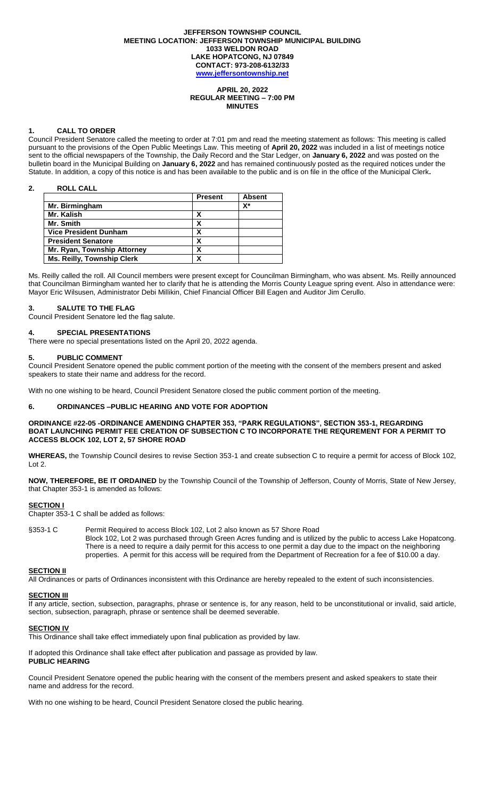#### **JEFFERSON TOWNSHIP COUNCIL MEETING LOCATION: JEFFERSON TOWNSHIP MUNICIPAL BUILDING 1033 WELDON ROAD LAKE HOPATCONG, NJ 07849 CONTACT: 973-208-6132/33 [www.jeffersontownship.net](http://www.jeffersontownship.net/)**

**APRIL 20, 2022 REGULAR MEETING – 7:00 PM MINUTES**

#### **1. CALL TO ORDER**

Council President Senatore called the meeting to order at 7:01 pm and read the meeting statement as follows: This meeting is called pursuant to the provisions of the Open Public Meetings Law. This meeting of **April 20, 2022** was included in a list of meetings notice sent to the official newspapers of the Township, the Daily Record and the Star Ledger, on **January 6, 2022** and was posted on the bulletin board in the Municipal Building on **January 6, 2022** and has remained continuously posted as the required notices under the Statute. In addition, a copy of this notice is and has been available to the public and is on file in the office of the Municipal Clerk**.** 

#### **2. ROLL CALL**

|                                   | <b>Present</b> | <b>Absent</b> |
|-----------------------------------|----------------|---------------|
| Mr. Birmingham                    |                | X*            |
| Mr. Kalish                        |                |               |
| Mr. Smith                         |                |               |
| <b>Vice President Dunham</b>      | х              |               |
| <b>President Senatore</b>         | х              |               |
| Mr. Ryan, Township Attorney       | χ              |               |
| <b>Ms. Reilly, Township Clerk</b> |                |               |

Ms. Reilly called the roll. All Council members were present except for Councilman Birmingham, who was absent. Ms. Reilly announced that Councilman Birmingham wanted her to clarify that he is attending the Morris County League spring event. Also in attendance were: Mayor Eric Wilsusen, Administrator Debi Millikin, Chief Financial Officer Bill Eagen and Auditor Jim Cerullo.

#### **3. SALUTE TO THE FLAG**

Council President Senatore led the flag salute.

### **4. [SPECIAL PRESENTATIONS](file://///JR2DATA/Clerk/Council%20Documents/Meetings/2018%20Meetings/EAGLE%20SCOUTS)**

There were no special presentations listed on the April 20, 2022 agenda.

#### **5. PUBLIC COMMENT**

Council President Senatore opened the public comment portion of the meeting with the consent of the members present and asked speakers to state their name and address for the record.

With no one wishing to be heard, Council President Senatore closed the public comment portion of the meeting.

#### **6. ORDINANCES –PUBLIC HEARING AND VOTE FOR ADOPTION**

#### **ORDINANCE #22-05 -ORDINANCE AMENDING CHAPTER 353, "PARK REGULATIONS", SECTION 353-1, REGARDING BOAT LAUNCHING PERMIT FEE CREATION OF SUBSECTION C TO INCORPORATE THE REQUREMENT FOR A PERMIT TO ACCESS BLOCK 102, LOT 2, 57 SHORE ROAD**

**WHEREAS,** the Township Council desires to revise Section 353-1 and create subsection C to require a permit for access of Block 102, Lot 2.

**NOW, THEREFORE, BE IT ORDAINED** by the Township Council of the Township of Jefferson, County of Morris, State of New Jersey, that Chapter 353-1 is amended as follows:

#### **SECTION I**

Chapter 353-1 C shall be added as follows:

§353-1 C Permit Required to access Block 102, Lot 2 also known as 57 Shore Road Block 102, Lot 2 was purchased through Green Acres funding and is utilized by the public to access Lake Hopatcong. There is a need to require a daily permit for this access to one permit a day due to the impact on the neighboring properties. A permit for this access will be required from the Department of Recreation for a fee of \$10.00 a day.

### **SECTION II**

All Ordinances or parts of Ordinances inconsistent with this Ordinance are hereby repealed to the extent of such inconsistencies.

# **SECTION III**

If any article, section, subsection, paragraphs, phrase or sentence is, for any reason, held to be unconstitutional or invalid, said article, section, subsection, paragraph, phrase or sentence shall be deemed severable.

#### **SECTION IV**

This Ordinance shall take effect immediately upon final publication as provided by law.

If adopted this Ordinance shall take effect after publication and passage as provided by law. **PUBLIC HEARING**

Council President Senatore opened the public hearing with the consent of the members present and asked speakers to state their name and address for the record.

With no one wishing to be heard, Council President Senatore closed the public hearing.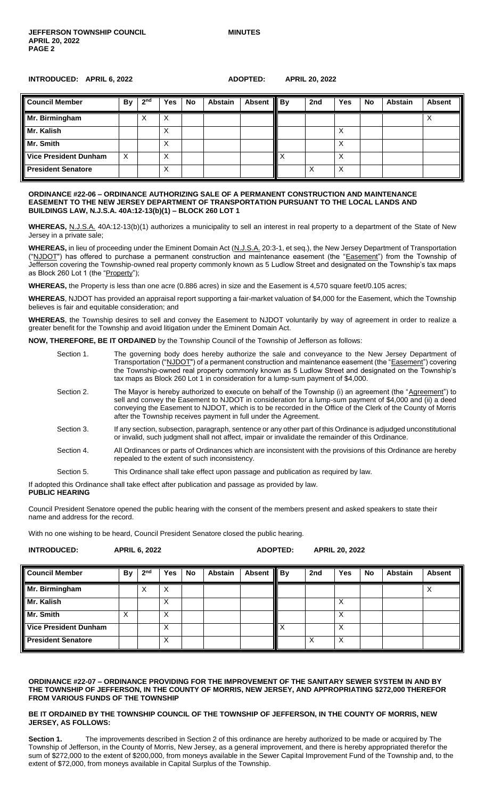#### **INTRODUCED: APRIL 6, 2022 ADOPTED: APRIL 20, 2022**

| <b>Council Member</b>        | By | 2 <sup>nd</sup> | <b>Yes</b> | <b>No</b> | Abstain | Absent    By | 2nd | <b>Yes</b> | <b>No</b> | <b>Abstain</b> | <b>Absent</b> |
|------------------------------|----|-----------------|------------|-----------|---------|--------------|-----|------------|-----------|----------------|---------------|
| Mr. Birmingham               |    | ∧               | ∧          |           |         |              |     |            |           |                |               |
| Mr. Kalish                   |    |                 | ∧          |           |         |              |     |            |           |                |               |
| Mr. Smith                    |    |                 | ∧          |           |         |              |     | $\lambda$  |           |                |               |
| <b>Vice President Dunham</b> | X  |                 | ∧          |           |         |              |     |            |           |                |               |
| <b>President Senatore</b>    |    |                 |            |           |         |              |     |            |           |                |               |

#### **ORDINANCE #22-06 – ORDINANCE AUTHORIZING SALE OF A PERMANENT CONSTRUCTION AND MAINTENANCE EASEMENT TO THE NEW JERSEY DEPARTMENT OF TRANSPORTATION PURSUANT TO THE LOCAL LANDS AND BUILDINGS LAW, N.J.S.A. 40A:12-13(b)(1) – BLOCK 260 LOT 1**

**WHEREAS,** N.J.S.A. 40A:12-13(b)(1) authorizes a municipality to sell an interest in real property to a department of the State of New Jersey in a private sale;

WHEREAS, in lieu of proceeding under the Eminent Domain Act (N.J.S.A. 20:3-1, et seq.), the New Jersey Department of Transportation ("NJDOT") has offered to purchase a permanent construction and maintenance easement (the "Easement") from the Township of Jefferson covering the Township-owned real property commonly known as 5 Ludlow Street and designated on the Township's tax maps as Block 260 Lot 1 (the "Property");

**WHEREAS,** the Property is less than one acre (0.886 acres) in size and the Easement is 4,570 square feet/0.105 acres;

**WHEREAS**, NJDOT has provided an appraisal report supporting a fair-market valuation of \$4,000 for the Easement, which the Township believes is fair and equitable consideration; and

**WHEREAS**, the Township desires to sell and convey the Easement to NJDOT voluntarily by way of agreement in order to realize a greater benefit for the Township and avoid litigation under the Eminent Domain Act.

**NOW, THEREFORE, BE IT ORDAINED** by the Township Council of the Township of Jefferson as follows:

| Section 1. | The governing body does hereby authorize the sale and conveyance to the New Jersey Department of<br>Transportation ("NJDOT") of a permanent construction and maintenance easement (the "Easement") covering<br>the Township-owned real property commonly known as 5 Ludlow Street and designated on the Township's<br>tax maps as Block 260 Lot 1 in consideration for a lump-sum payment of \$4,000.    |
|------------|----------------------------------------------------------------------------------------------------------------------------------------------------------------------------------------------------------------------------------------------------------------------------------------------------------------------------------------------------------------------------------------------------------|
| Section 2. | The Mayor is hereby authorized to execute on behalf of the Township (i) an agreement (the "Agreement") to<br>sell and convey the Easement to NJDOT in consideration for a lump-sum payment of \$4,000 and (ii) a deed<br>conveying the Easement to NJDOT, which is to be recorded in the Office of the Clerk of the County of Morris<br>after the Township receives payment in full under the Agreement. |
| Section 3. | If any section, subsection, paragraph, sentence or any other part of this Ordinance is adjudged unconstitutional<br>or invalid, such judgment shall not affect, impair or invalidate the remainder of this Ordinance.                                                                                                                                                                                    |
| Section 4. | All Ordinances or parts of Ordinances which are inconsistent with the provisions of this Ordinance are hereby<br>repealed to the extent of such inconsistency.                                                                                                                                                                                                                                           |
| Section 5. | This Ordinance shall take effect upon passage and publication as required by law.                                                                                                                                                                                                                                                                                                                        |

If adopted this Ordinance shall take effect after publication and passage as provided by law.

# **PUBLIC HEARING**

Council President Senatore opened the public hearing with the consent of the members present and asked speakers to state their name and address for the record.

With no one wishing to be heard, Council President Senatore closed the public hearing.

| <b>INTRODUCED:</b>           | <b>APRIL 6, 2022</b> |                 |     |    |                |             | ADOPTED: | <b>APRIL 20, 2022</b> |            |    |                |               |
|------------------------------|----------------------|-----------------|-----|----|----------------|-------------|----------|-----------------------|------------|----|----------------|---------------|
| <b>Council Member</b>        | <b>By</b>            | 2 <sup>nd</sup> | Yes | No | <b>Abstain</b> | Absent   By |          | 2nd                   | <b>Yes</b> | No | <b>Abstain</b> | <b>Absent</b> |
| Mr. Birmingham               |                      | X               | Χ   |    |                |             |          |                       |            |    |                |               |
| Mr. Kalish                   |                      |                 | X   |    |                |             |          |                       | X          |    |                |               |
| Mr. Smith                    | X                    |                 | X   |    |                |             |          |                       | X          |    |                |               |
| <b>Vice President Dunham</b> |                      |                 | X   |    |                |             | ΙX       |                       | X          |    |                |               |
| <b>President Senatore</b>    |                      |                 | X   |    |                |             |          |                       | X          |    |                |               |

#### **ORDINANCE #22-07 – ORDINANCE PROVIDING FOR THE IMPROVEMENT OF THE SANITARY SEWER SYSTEM IN AND BY THE TOWNSHIP OF JEFFERSON, IN THE COUNTY OF MORRIS, NEW JERSEY, AND APPROPRIATING \$272,000 THEREFOR FROM VARIOUS FUNDS OF THE TOWNSHIP**

#### **BE IT ORDAINED BY THE TOWNSHIP COUNCIL OF THE TOWNSHIP OF JEFFERSON, IN THE COUNTY OF MORRIS, NEW JERSEY, AS FOLLOWS:**

**Section 1.** The improvements described in Section 2 of this ordinance are hereby authorized to be made or acquired by The Township of Jefferson, in the County of Morris, New Jersey, as a general improvement, and there is hereby appropriated therefor the sum of \$272,000 to the extent of \$200,000, from moneys available in the Sewer Capital Improvement Fund of the Township and, to the extent of \$72,000, from moneys available in Capital Surplus of the Township.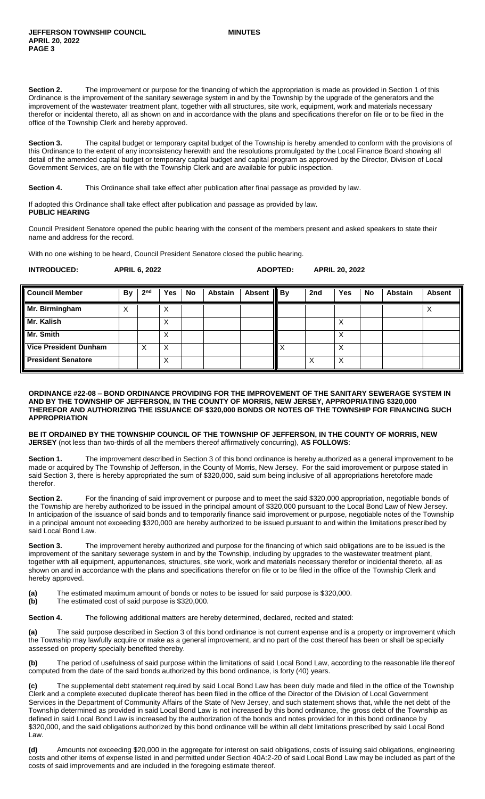**Section 2.** The improvement or purpose for the financing of which the appropriation is made as provided in Section 1 of this Ordinance is the improvement of the sanitary sewerage system in and by the Township by the upgrade of the generators and the improvement of the wastewater treatment plant, together with all structures, site work, equipment, work and materials necessary therefor or incidental thereto, all as shown on and in accordance with the plans and specifications therefor on file or to be filed in the office of the Township Clerk and hereby approved.

**Section 3.** The capital budget or temporary capital budget of the Township is hereby amended to conform with the provisions of this Ordinance to the extent of any inconsistency herewith and the resolutions promulgated by the Local Finance Board showing all detail of the amended capital budget or temporary capital budget and capital program as approved by the Director, Division of Local Government Services, are on file with the Township Clerk and are available for public inspection.

**Section 4.** This Ordinance shall take effect after publication after final passage as provided by law.

If adopted this Ordinance shall take effect after publication and passage as provided by law. **PUBLIC HEARING**

Council President Senatore opened the public hearing with the consent of the members present and asked speakers to state their name and address for the record.

With no one wishing to be heard, Council President Senatore closed the public hearing.

| <b>INTRODUCED:</b><br><b>APRIL 6, 2022</b> | <b>ADOPTED:</b> | <b>APRIL 20, 2022</b> |
|--------------------------------------------|-----------------|-----------------------|
|--------------------------------------------|-----------------|-----------------------|

| <b>Council Member</b>        | By | 2 <sup>nd</sup> | Yes               | <b>No</b> | <b>Abstain</b> | Absent    By | 2nd | <b>Yes</b> | <b>No</b> | <b>Abstain</b> | <b>Absent</b> |
|------------------------------|----|-----------------|-------------------|-----------|----------------|--------------|-----|------------|-----------|----------------|---------------|
| Mr. Birmingham               | ∧  |                 | $\checkmark$<br>⋏ |           |                |              |     |            |           |                |               |
| Mr. Kalish                   |    |                 | Х                 |           |                |              |     | ⌒          |           |                |               |
| Mr. Smith                    |    |                 | х                 |           |                |              |     | ∧          |           |                |               |
| <b>Vice President Dunham</b> |    | Х               | х                 |           |                |              |     |            |           |                |               |
| <b>President Senatore</b>    |    |                 | X                 |           |                |              |     | X          |           |                |               |

#### **ORDINANCE #22-08 – BOND ORDINANCE PROVIDING FOR THE IMPROVEMENT OF THE SANITARY SEWERAGE SYSTEM IN AND BY THE TOWNSHIP OF JEFFERSON, IN THE COUNTY OF MORRIS, NEW JERSEY, APPROPRIATING \$320,000 THEREFOR AND AUTHORIZING THE ISSUANCE OF \$320,000 BONDS OR NOTES OF THE TOWNSHIP FOR FINANCING SUCH APPROPRIATION**

**BE IT ORDAINED BY THE TOWNSHIP COUNCIL OF THE TOWNSHIP OF JEFFERSON, IN THE COUNTY OF MORRIS, NEW JERSEY** (not less than two-thirds of all the members thereof affirmatively concurring), **AS FOLLOWS**:

**Section 1.** The improvement described in Section 3 of this bond ordinance is hereby authorized as a general improvement to be made or acquired by The Township of Jefferson, in the County of Morris, New Jersey. For the said improvement or purpose stated in said Section 3, there is hereby appropriated the sum of \$320,000, said sum being inclusive of all appropriations heretofore made therefor.

**Section 2.** For the financing of said improvement or purpose and to meet the said \$320,000 appropriation, negotiable bonds of the Township are hereby authorized to be issued in the principal amount of \$320,000 pursuant to the Local Bond Law of New Jersey. In anticipation of the issuance of said bonds and to temporarily finance said improvement or purpose, negotiable notes of the Township in a principal amount not exceeding \$320,000 are hereby authorized to be issued pursuant to and within the limitations prescribed by said Local Bond Law.

Section 3. The improvement hereby authorized and purpose for the financing of which said obligations are to be issued is the improvement of the sanitary sewerage system in and by the Township, including by upgrades to the wastewater treatment plant, together with all equipment, appurtenances, structures, site work, work and materials necessary therefor or incidental thereto, all as shown on and in accordance with the plans and specifications therefor on file or to be filed in the office of the Township Clerk and hereby approved.

**(a)** The estimated maximum amount of bonds or notes to be issued for said purpose is \$320,000.

**(b)** The estimated cost of said purpose is \$320,000.

**Section 4.** The following additional matters are hereby determined, declared, recited and stated:

**(a)** The said purpose described in Section 3 of this bond ordinance is not current expense and is a property or improvement which the Township may lawfully acquire or make as a general improvement, and no part of the cost thereof has been or shall be specially assessed on property specially benefited thereby.

**(b)** The period of usefulness of said purpose within the limitations of said Local Bond Law, according to the reasonable life thereof computed from the date of the said bonds authorized by this bond ordinance, is forty (40) years.

**(c)** The supplemental debt statement required by said Local Bond Law has been duly made and filed in the office of the Township Clerk and a complete executed duplicate thereof has been filed in the office of the Director of the Division of Local Government Services in the Department of Community Affairs of the State of New Jersey, and such statement shows that, while the net debt of the Township determined as provided in said Local Bond Law is not increased by this bond ordinance, the gross debt of the Township as defined in said Local Bond Law is increased by the authorization of the bonds and notes provided for in this bond ordinance by \$320,000, and the said obligations authorized by this bond ordinance will be within all debt limitations prescribed by said Local Bond Law.

**(d)** Amounts not exceeding \$20,000 in the aggregate for interest on said obligations, costs of issuing said obligations, engineering costs and other items of expense listed in and permitted under Section 40A:2-20 of said Local Bond Law may be included as part of the costs of said improvements and are included in the foregoing estimate thereof.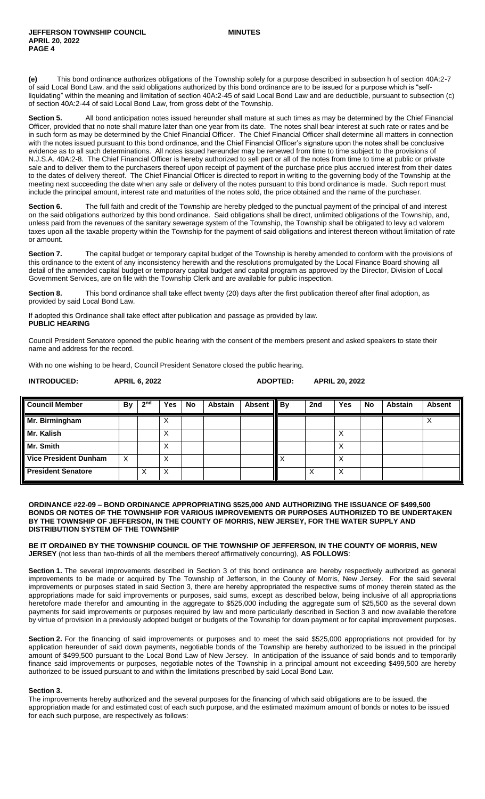**(e)** This bond ordinance authorizes obligations of the Township solely for a purpose described in subsection h of section 40A:2-7 of said Local Bond Law, and the said obligations authorized by this bond ordinance are to be issued for a purpose which is "selfliquidating" within the meaning and limitation of section 40A:2-45 of said Local Bond Law and are deductible, pursuant to subsection (c) of section 40A:2-44 of said Local Bond Law, from gross debt of the Township.

Section 5. All bond anticipation notes issued hereunder shall mature at such times as may be determined by the Chief Financial Officer, provided that no note shall mature later than one year from its date. The notes shall bear interest at such rate or rates and be in such form as may be determined by the Chief Financial Officer. The Chief Financial Officer shall determine all matters in connection with the notes issued pursuant to this bond ordinance, and the Chief Financial Officer's signature upon the notes shall be conclusive evidence as to all such determinations. All notes issued hereunder may be renewed from time to time subject to the provisions of N.J.S.A. 40A:2-8. The Chief Financial Officer is hereby authorized to sell part or all of the notes from time to time at public or private sale and to deliver them to the purchasers thereof upon receipt of payment of the purchase price plus accrued interest from their dates to the dates of delivery thereof. The Chief Financial Officer is directed to report in writing to the governing body of the Township at the meeting next succeeding the date when any sale or delivery of the notes pursuant to this bond ordinance is made. Such report must include the principal amount, interest rate and maturities of the notes sold, the price obtained and the name of the purchaser.

**Section 6.** The full faith and credit of the Township are hereby pledged to the punctual payment of the principal of and interest on the said obligations authorized by this bond ordinance. Said obligations shall be direct, unlimited obligations of the Township, and, unless paid from the revenues of the sanitary sewerage system of the Township, the Township shall be obligated to levy ad valorem taxes upon all the taxable property within the Township for the payment of said obligations and interest thereon without limitation of rate or amount.

**Section 7.** The capital budget or temporary capital budget of the Township is hereby amended to conform with the provisions of this ordinance to the extent of any inconsistency herewith and the resolutions promulgated by the Local Finance Board showing all detail of the amended capital budget or temporary capital budget and capital program as approved by the Director, Division of Local Government Services, are on file with the Township Clerk and are available for public inspection.

**Section 8.** This bond ordinance shall take effect twenty (20) days after the first publication thereof after final adoption, as provided by said Local Bond Law.

If adopted this Ordinance shall take effect after publication and passage as provided by law. **PUBLIC HEARING**

Council President Senatore opened the public hearing with the consent of the members present and asked speakers to state their name and address for the record.

With no one wishing to be heard, Council President Senatore closed the public hearing.

# **INTRODUCED: APRIL 6, 2022 ADOPTED: APRIL 20, 2022**

**Council Member By 2 nd Yes No Abstain Absent By 2nd Yes No Abstain Absent Mr. Birmingham** X X **Mr. Kalish** X X **Mr. Smith**  $\begin{array}{|c|c|c|c|c|c|}\hline \text{Mr. Smith} & & & \text{ } \end{array}$ **Vice President Dunham** X X X X X X X X X X **President Senatore** X X X X X X X X X

#### **ORDINANCE #22-09 – BOND ORDINANCE APPROPRIATING \$525,000 AND AUTHORIZING THE ISSUANCE OF \$499,500 BONDS OR NOTES OF THE TOWNSHIP FOR VARIOUS IMPROVEMENTS OR PURPOSES AUTHORIZED TO BE UNDERTAKEN BY THE TOWNSHIP OF JEFFERSON, IN THE COUNTY OF MORRIS, NEW JERSEY, FOR THE WATER SUPPLY AND DISTRIBUTION SYSTEM OF THE TOWNSHIP**

#### **BE IT ORDAINED BY THE TOWNSHIP COUNCIL OF THE TOWNSHIP OF JEFFERSON, IN THE COUNTY OF MORRIS, NEW JERSEY** (not less than two-thirds of all the members thereof affirmatively concurring), **AS FOLLOWS**:

**Section 1.** The several improvements described in Section 3 of this bond ordinance are hereby respectively authorized as general improvements to be made or acquired by The Township of Jefferson, in the County of Morris, New Jersey. For the said several improvements or purposes stated in said Section 3, there are hereby appropriated the respective sums of money therein stated as the appropriations made for said improvements or purposes, said sums, except as described below, being inclusive of all appropriations heretofore made therefor and amounting in the aggregate to \$525,000 including the aggregate sum of \$25,500 as the several down payments for said improvements or purposes required by law and more particularly described in Section 3 and now available therefore by virtue of provision in a previously adopted budget or budgets of the Township for down payment or for capital improvement purposes.

**Section 2.** For the financing of said improvements or purposes and to meet the said \$525,000 appropriations not provided for by application hereunder of said down payments, negotiable bonds of the Township are hereby authorized to be issued in the principal amount of \$499,500 pursuant to the Local Bond Law of New Jersey. In anticipation of the issuance of said bonds and to temporarily finance said improvements or purposes, negotiable notes of the Township in a principal amount not exceeding \$499,500 are hereby authorized to be issued pursuant to and within the limitations prescribed by said Local Bond Law.

# **Section 3.**

The improvements hereby authorized and the several purposes for the financing of which said obligations are to be issued, the appropriation made for and estimated cost of each such purpose, and the estimated maximum amount of bonds or notes to be issued for each such purpose, are respectively as follows: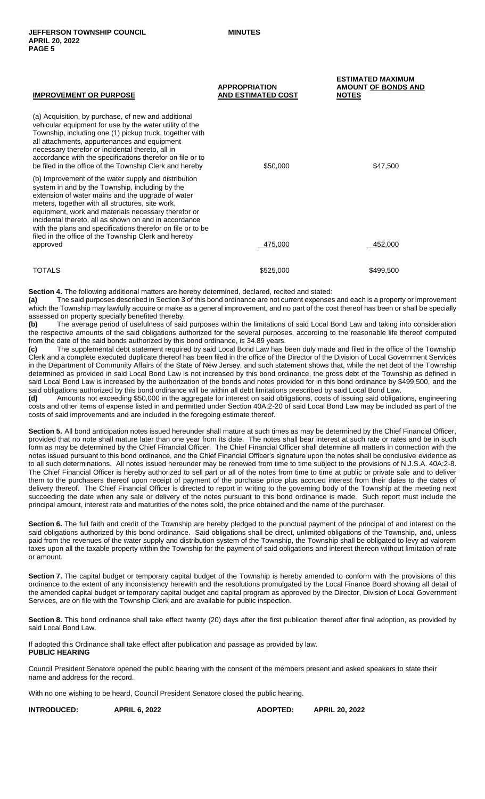| <b>IMPROVEMENT OR PURPOSE</b>                                                                                                                                                                                                                                                                                                                                                                                                                           | <b>APPROPRIATION</b><br><b>AND ESTIMATED COST</b> | <b>ESTIMATED MAXIMUM</b><br><b>AMOUNT OF BONDS AND</b><br><b>NOTES</b> |
|---------------------------------------------------------------------------------------------------------------------------------------------------------------------------------------------------------------------------------------------------------------------------------------------------------------------------------------------------------------------------------------------------------------------------------------------------------|---------------------------------------------------|------------------------------------------------------------------------|
| (a) Acquisition, by purchase, of new and additional<br>vehicular equipment for use by the water utility of the<br>Township, including one (1) pickup truck, together with<br>all attachments, appurtenances and equipment<br>necessary therefor or incidental thereto, all in<br>accordance with the specifications therefor on file or to<br>be filed in the office of the Township Clerk and hereby                                                   | \$50,000                                          | \$47,500                                                               |
| (b) Improvement of the water supply and distribution<br>system in and by the Township, including by the<br>extension of water mains and the upgrade of water<br>meters, together with all structures, site work,<br>equipment, work and materials necessary therefor or<br>incidental thereto, all as shown on and in accordance<br>with the plans and specifications therefor on file or to be<br>filed in the office of the Township Clerk and hereby |                                                   |                                                                        |
| approved                                                                                                                                                                                                                                                                                                                                                                                                                                                | 475,000                                           | 452.000                                                                |

 $\texttt{TOTALS} \quad \texttt{\quad} \quad \texttt{\quad} \quad \texttt{\quad} \quad \texttt{\quad} \quad \texttt{\quad} \quad \texttt{\quad} \quad \texttt{\quad} \quad \texttt{\quad} \quad \texttt{\quad} \quad \texttt{\quad} \quad \texttt{\quad} \quad \texttt{\quad} \quad \texttt{\quad} \quad \texttt{\quad} \quad \texttt{\quad} \quad \texttt{\quad} \quad \texttt{\quad} \quad \texttt{\quad} \quad \texttt{\quad} \quad \texttt{\quad} \quad \texttt{\quad} \quad \texttt{\quad} \quad \texttt{\quad} \quad \texttt{\quad} \quad \texttt{\quad} \quad \texttt{\quad} \quad \texttt$ 

**Section 4.** The following additional matters are hereby determined, declared, recited and stated:

**(a)** The said purposes described in Section 3 of this bond ordinance are not current expenses and each is a property or improvement which the Township may lawfully acquire or make as a general improvement, and no part of the cost thereof has been or shall be specially assessed on property specially benefited thereby.

**(b)** The average period of usefulness of said purposes within the limitations of said Local Bond Law and taking into consideration the respective amounts of the said obligations authorized for the several purposes, according to the reasonable life thereof computed from the date of the said bonds authorized by this bond ordinance, is 34.89 years.

**(c)** The supplemental debt statement required by said Local Bond Law has been duly made and filed in the office of the Township Clerk and a complete executed duplicate thereof has been filed in the office of the Director of the Division of Local Government Services in the Department of Community Affairs of the State of New Jersey, and such statement shows that, while the net debt of the Township determined as provided in said Local Bond Law is not increased by this bond ordinance, the gross debt of the Township as defined in said Local Bond Law is increased by the authorization of the bonds and notes provided for in this bond ordinance by \$499,500, and the said obligations authorized by this bond ordinance will be within all debt limitations prescribed by said Local Bond Law.

**(d)** Amounts not exceeding \$50,000 in the aggregate for interest on said obligations, costs of issuing said obligations, engineering costs and other items of expense listed in and permitted under Section 40A:2-20 of said Local Bond Law may be included as part of the costs of said improvements and are included in the foregoing estimate thereof.

**Section 5.** All bond anticipation notes issued hereunder shall mature at such times as may be determined by the Chief Financial Officer, provided that no note shall mature later than one year from its date. The notes shall bear interest at such rate or rates and be in such form as may be determined by the Chief Financial Officer. The Chief Financial Officer shall determine all matters in connection with the notes issued pursuant to this bond ordinance, and the Chief Financial Officer's signature upon the notes shall be conclusive evidence as to all such determinations. All notes issued hereunder may be renewed from time to time subject to the provisions of N.J.S.A. 40A:2-8. The Chief Financial Officer is hereby authorized to sell part or all of the notes from time to time at public or private sale and to deliver them to the purchasers thereof upon receipt of payment of the purchase price plus accrued interest from their dates to the dates of delivery thereof. The Chief Financial Officer is directed to report in writing to the governing body of the Township at the meeting next succeeding the date when any sale or delivery of the notes pursuant to this bond ordinance is made. Such report must include the principal amount, interest rate and maturities of the notes sold, the price obtained and the name of the purchaser.

**Section 6.** The full faith and credit of the Township are hereby pledged to the punctual payment of the principal of and interest on the said obligations authorized by this bond ordinance. Said obligations shall be direct, unlimited obligations of the Township, and, unless paid from the revenues of the water supply and distribution system of the Township, the Township shall be obligated to levy ad valorem taxes upon all the taxable property within the Township for the payment of said obligations and interest thereon without limitation of rate or amount.

**Section 7.** The capital budget or temporary capital budget of the Township is hereby amended to conform with the provisions of this ordinance to the extent of any inconsistency herewith and the resolutions promulgated by the Local Finance Board showing all detail of the amended capital budget or temporary capital budget and capital program as approved by the Director, Division of Local Government Services, are on file with the Township Clerk and are available for public inspection.

**Section 8.** This bond ordinance shall take effect twenty (20) days after the first publication thereof after final adoption, as provided by said Local Bond Law.

If adopted this Ordinance shall take effect after publication and passage as provided by law. **PUBLIC HEARING**

Council President Senatore opened the public hearing with the consent of the members present and asked speakers to state their name and address for the record.

With no one wishing to be heard, Council President Senatore closed the public hearing.

**INTRODUCED: APRIL 6, 2022 ADOPTED: APRIL 20, 2022**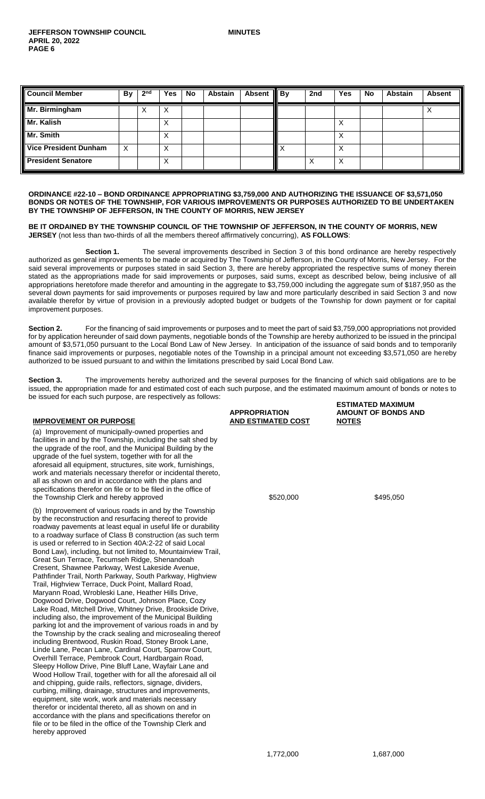| <b>Council Member</b>        | By | 2 <sup>nd</sup> | <b>Yes</b> | <b>No</b> | Abstain | <b>Absent</b> | $\blacksquare$ By | 2nd | Yes               | <b>No</b> | <b>Abstain</b> | <b>Absent</b> |
|------------------------------|----|-----------------|------------|-----------|---------|---------------|-------------------|-----|-------------------|-----------|----------------|---------------|
| Mr. Birmingham               |    | X               | X          |           |         |               |                   |     |                   |           |                |               |
| Mr. Kalish                   |    |                 | v<br>⋏     |           |         |               |                   |     | $\cdot$<br>⌒      |           |                |               |
| Mr. Smith                    |    |                 | х          |           |         |               |                   |     |                   |           |                |               |
| <b>Vice President Dunham</b> | X  |                 | X          |           |         |               |                   |     | X                 |           |                |               |
| <b>President Senatore</b>    |    |                 | X          |           |         |               |                   |     | $\checkmark$<br>∧ |           |                |               |

**ORDINANCE #22-10 – BOND ORDINANCE APPROPRIATING \$3,759,000 AND AUTHORIZING THE ISSUANCE OF \$3,571,050 BONDS OR NOTES OF THE TOWNSHIP, FOR VARIOUS IMPROVEMENTS OR PURPOSES AUTHORIZED TO BE UNDERTAKEN BY THE TOWNSHIP OF JEFFERSON, IN THE COUNTY OF MORRIS, NEW JERSEY**

**BE IT ORDAINED BY THE TOWNSHIP COUNCIL OF THE TOWNSHIP OF JEFFERSON, IN THE COUNTY OF MORRIS, NEW JERSEY** (not less than two-thirds of all the members thereof affirmatively concurring), **AS FOLLOWS**:

**Section 1.** The several improvements described in Section 3 of this bond ordinance are hereby respectively authorized as general improvements to be made or acquired by The Township of Jefferson, in the County of Morris, New Jersey. For the said several improvements or purposes stated in said Section 3, there are hereby appropriated the respective sums of money therein stated as the appropriations made for said improvements or purposes, said sums, except as described below, being inclusive of all appropriations heretofore made therefor and amounting in the aggregate to \$3,759,000 including the aggregate sum of \$187,950 as the several down payments for said improvements or purposes required by law and more particularly described in said Section 3 and now available therefor by virtue of provision in a previously adopted budget or budgets of the Township for down payment or for capital improvement purposes.

Section 2. For the financing of said improvements or purposes and to meet the part of said \$3,759,000 appropriations not provided for by application hereunder of said down payments, negotiable bonds of the Township are hereby authorized to be issued in the principal amount of \$3,571,050 pursuant to the Local Bond Law of New Jersey. In anticipation of the issuance of said bonds and to temporarily finance said improvements or purposes, negotiable notes of the Township in a principal amount not exceeding \$3,571,050 are hereby authorized to be issued pursuant to and within the limitations prescribed by said Local Bond Law.

Section 3. The improvements hereby authorized and the several purposes for the financing of which said obligations are to be issued, the appropriation made for and estimated cost of each such purpose, and the estimated maximum amount of bonds or notes to be issued for each such purpose, are respectively as follows:

# **IMPROVEMENT OR PURPOSE**

(a) Improvement of municipally-owned properties and facilities in and by the Township, including the salt shed by the upgrade of the roof, and the Municipal Building by the upgrade of the fuel system, together with for all the aforesaid all equipment, structures, site work, furnishings, work and materials necessary therefor or incidental thereto, all as shown on and in accordance with the plans and specifications therefor on file or to be filed in the office of the Township Clerk and hereby approved  $$520,000$  \$495,050

(b) Improvement of various roads in and by the Township by the reconstruction and resurfacing thereof to provide roadway pavements at least equal in useful life or durability to a roadway surface of Class B construction (as such term is used or referred to in Section 40A:2-22 of said Local Bond Law), including, but not limited to, Mountainview Trail, Great Sun Terrace, Tecumseh Ridge, Shenandoah Cresent, Shawnee Parkway, West Lakeside Avenue, Pathfinder Trail, North Parkway, South Parkway, Highview Trail, Highview Terrace, Duck Point, Mallard Road, Maryann Road, Wrobleski Lane, Heather Hills Drive, Dogwood Drive, Dogwood Court, Johnson Place, Cozy Lake Road, Mitchell Drive, Whitney Drive, Brookside Drive, including also, the improvement of the Municipal Building parking lot and the improvement of various roads in and by the Township by the crack sealing and microsealing thereof including Brentwood, Ruskin Road, Stoney Brook Lane, Linde Lane, Pecan Lane, Cardinal Court, Sparrow Court, Overhill Terrace, Pembrook Court, Hardbargain Road, Sleepy Hollow Drive, Pine Bluff Lane, Wayfair Lane and Wood Hollow Trail, together with for all the aforesaid all oil and chipping, guide rails, reflectors, signage, dividers, curbing, milling, drainage, structures and improvements, equipment, site work, work and materials necessary therefor or incidental thereto, all as shown on and in accordance with the plans and specifications therefor on file or to be filed in the office of the Township Clerk and hereby approved

**APPROPRIATION AND ESTIMATED COST** **ESTIMATED MAXIMUM AMOUNT OF BONDS AND NOTES**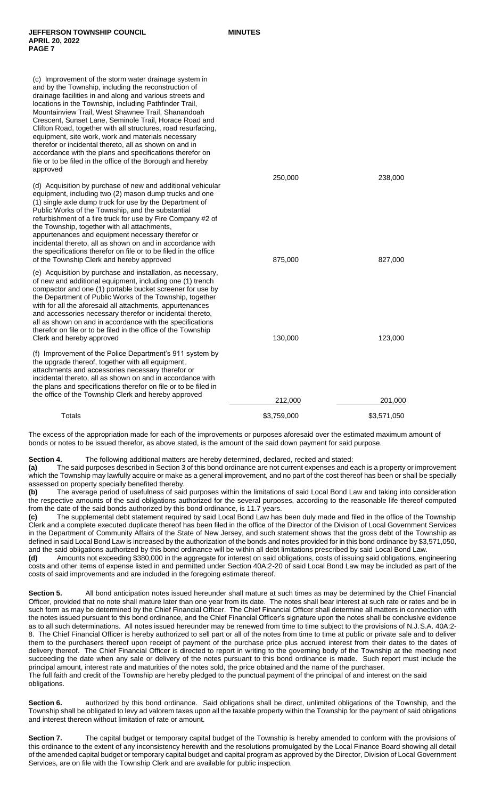| (c) Improvement of the storm water drainage system in<br>and by the Township, including the reconstruction of<br>drainage facilities in and along and various streets and<br>locations in the Township, including Pathfinder Trail,<br>Mountainview Trail, West Shawnee Trail, Shanandoah<br>Crescent, Sunset Lane, Seminole Trail, Horace Road and<br>Clifton Road, together with all structures, road resurfacing,<br>equipment, site work, work and materials necessary<br>therefor or incidental thereto, all as shown on and in<br>accordance with the plans and specifications therefor on<br>file or to be filed in the office of the Borough and hereby<br>approved |             |             |
|-----------------------------------------------------------------------------------------------------------------------------------------------------------------------------------------------------------------------------------------------------------------------------------------------------------------------------------------------------------------------------------------------------------------------------------------------------------------------------------------------------------------------------------------------------------------------------------------------------------------------------------------------------------------------------|-------------|-------------|
|                                                                                                                                                                                                                                                                                                                                                                                                                                                                                                                                                                                                                                                                             | 250,000     | 238,000     |
| (d) Acquisition by purchase of new and additional vehicular<br>equipment, including two (2) mason dump trucks and one<br>(1) single axle dump truck for use by the Department of<br>Public Works of the Township, and the substantial<br>refurbishment of a fire truck for use by Fire Company #2 of<br>the Township, together with all attachments,<br>appurtenances and equipment necessary therefor or<br>incidental thereto, all as shown on and in accordance with<br>the specifications therefor on file or to be filed in the office<br>of the Township Clerk and hereby approved                                                                                    | 875,000     | 827,000     |
| (e) Acquisition by purchase and installation, as necessary,<br>of new and additional equipment, including one (1) trench<br>compactor and one (1) portable bucket screener for use by<br>the Department of Public Works of the Township, together<br>with for all the aforesaid all attachments, appurtenances<br>and accessories necessary therefor or incidental thereto,<br>all as shown on and in accordance with the specifications<br>therefor on file or to be filed in the office of the Township<br>Clerk and hereby approved                                                                                                                                      | 130,000     | 123,000     |
| (f) Improvement of the Police Department's 911 system by<br>the upgrade thereof, together with all equipment,<br>attachments and accessories necessary therefor or<br>incidental thereto, all as shown on and in accordance with<br>the plans and specifications therefor on file or to be filed in<br>the office of the Township Clerk and hereby approved                                                                                                                                                                                                                                                                                                                 |             |             |
|                                                                                                                                                                                                                                                                                                                                                                                                                                                                                                                                                                                                                                                                             | 212,000     | 201,000     |
| Totals                                                                                                                                                                                                                                                                                                                                                                                                                                                                                                                                                                                                                                                                      | \$3,759,000 | \$3,571,050 |

The excess of the appropriation made for each of the improvements or purposes aforesaid over the estimated maximum amount of bonds or notes to be issued therefor, as above stated, is the amount of the said down payment for said purpose.

**Section 4.** The following additional matters are hereby determined, declared, recited and stated:

**(a)** The said purposes described in Section 3 of this bond ordinance are not current expenses and each is a property or improvement which the Township may lawfully acquire or make as a general improvement, and no part of the cost thereof has been or shall be specially assessed on property specially benefited thereby.

**(b)** The average period of usefulness of said purposes within the limitations of said Local Bond Law and taking into consideration the respective amounts of the said obligations authorized for the several purposes, according to the reasonable life thereof computed from the date of the said bonds authorized by this bond ordinance, is 11.7 years.

**(c)** The supplemental debt statement required by said Local Bond Law has been duly made and filed in the office of the Township Clerk and a complete executed duplicate thereof has been filed in the office of the Director of the Division of Local Government Services in the Department of Community Affairs of the State of New Jersey, and such statement shows that the gross debt of the Township as defined in said Local Bond Law is increased by the authorization of the bonds and notes provided for in this bond ordinance by \$3,571,050, and the said obligations authorized by this bond ordinance will be within all debt limitations prescribed by said Local Bond Law.

**(d)** Amounts not exceeding \$380,000 in the aggregate for interest on said obligations, costs of issuing said obligations, engineering costs and other items of expense listed in and permitted under Section 40A:2-20 of said Local Bond Law may be included as part of the costs of said improvements and are included in the foregoing estimate thereof.

**Section 5.** All bond anticipation notes issued hereunder shall mature at such times as may be determined by the Chief Financial Officer, provided that no note shall mature later than one year from its date. The notes shall bear interest at such rate or rates and be in such form as may be determined by the Chief Financial Officer. The Chief Financial Officer shall determine all matters in connection with the notes issued pursuant to this bond ordinance, and the Chief Financial Officer's signature upon the notes shall be conclusive evidence as to all such determinations. All notes issued hereunder may be renewed from time to time subject to the provisions of N.J.S.A. 40A:2- 8. The Chief Financial Officer is hereby authorized to sell part or all of the notes from time to time at public or private sale and to deliver them to the purchasers thereof upon receipt of payment of the purchase price plus accrued interest from their dates to the dates of delivery thereof. The Chief Financial Officer is directed to report in writing to the governing body of the Township at the meeting next succeeding the date when any sale or delivery of the notes pursuant to this bond ordinance is made. Such report must include the principal amount, interest rate and maturities of the notes sold, the price obtained and the name of the purchaser. The full faith and credit of the Township are hereby pledged to the punctual payment of the principal of and interest on the said obligations.

**Section 6.** authorized by this bond ordinance. Said obligations shall be direct, unlimited obligations of the Township, and the Township shall be obligated to levy ad valorem taxes upon all the taxable property within the Township for the payment of said obligations and interest thereon without limitation of rate or amount.

Section 7. The capital budget or temporary capital budget of the Township is hereby amended to conform with the provisions of this ordinance to the extent of any inconsistency herewith and the resolutions promulgated by the Local Finance Board showing all detail of the amended capital budget or temporary capital budget and capital program as approved by the Director, Division of Local Government Services, are on file with the Township Clerk and are available for public inspection.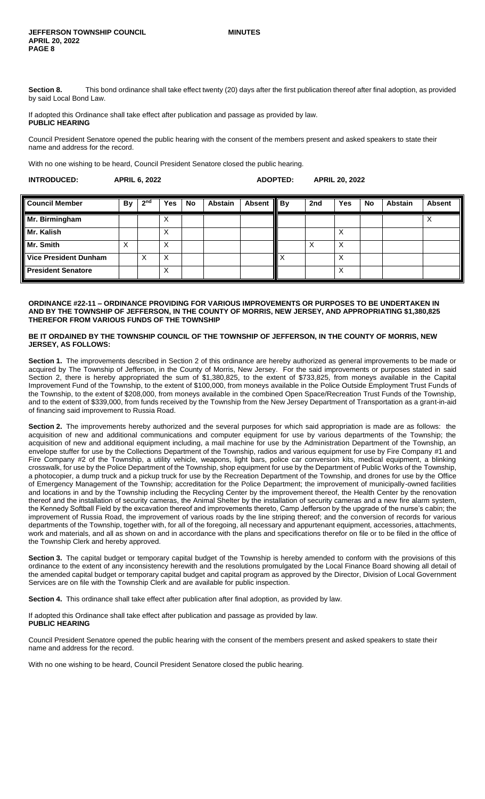Section 8. This bond ordinance shall take effect twenty (20) days after the first publication thereof after final adoption, as provided by said Local Bond Law.

If adopted this Ordinance shall take effect after publication and passage as provided by law. **PUBLIC HEARING**

Council President Senatore opened the public hearing with the consent of the members present and asked speakers to state their name and address for the record.

With no one wishing to be heard, Council President Senatore closed the public hearing.

| <b>INTRODUCED:</b> | <b>APRIL 6, 2022</b> | ADOPTED: | <b>APRIL 20, 2022</b> |
|--------------------|----------------------|----------|-----------------------|
|                    |                      |          |                       |

| <b>Council Member</b>        | <b>By</b> | 2 <sub>nd</sub> | Yes | No | <b>Abstain</b> | Absent   By | 2nd | <b>Yes</b>        | <b>No</b> | <b>Abstain</b> | <b>Absent</b> |
|------------------------------|-----------|-----------------|-----|----|----------------|-------------|-----|-------------------|-----------|----------------|---------------|
| Mr. Birmingham               |           |                 | X   |    |                |             |     |                   |           |                |               |
| Mr. Kalish                   |           |                 | X   |    |                |             |     | ∧                 |           |                |               |
| Mr. Smith                    | ∧         |                 | X   |    |                |             |     | Χ                 |           |                |               |
| <b>Vice President Dunham</b> |           | Х               | X   |    |                |             |     | v                 |           |                |               |
| <b>President Senatore</b>    |           |                 | X   |    |                |             |     | $\checkmark$<br>⋏ |           |                |               |

#### **ORDINANCE #22-11 – ORDINANCE PROVIDING FOR VARIOUS IMPROVEMENTS OR PURPOSES TO BE UNDERTAKEN IN AND BY THE TOWNSHIP OF JEFFERSON, IN THE COUNTY OF MORRIS, NEW JERSEY, AND APPROPRIATING \$1,380,825 THEREFOR FROM VARIOUS FUNDS OF THE TOWNSHIP**

### **BE IT ORDAINED BY THE TOWNSHIP COUNCIL OF THE TOWNSHIP OF JEFFERSON, IN THE COUNTY OF MORRIS, NEW JERSEY, AS FOLLOWS:**

**Section 1.** The improvements described in Section 2 of this ordinance are hereby authorized as general improvements to be made or acquired by The Township of Jefferson, in the County of Morris, New Jersey. For the said improvements or purposes stated in said Section 2, there is hereby appropriated the sum of \$1,380,825, to the extent of \$733,825, from moneys available in the Capital Improvement Fund of the Township, to the extent of \$100,000, from moneys available in the Police Outside Employment Trust Funds of the Township, to the extent of \$208,000, from moneys available in the combined Open Space/Recreation Trust Funds of the Township, and to the extent of \$339,000, from funds received by the Township from the New Jersey Department of Transportation as a grant-in-aid of financing said improvement to Russia Road.

**Section 2.** The improvements hereby authorized and the several purposes for which said appropriation is made are as follows: the acquisition of new and additional communications and computer equipment for use by various departments of the Township; the acquisition of new and additional equipment including, a mail machine for use by the Administration Department of the Township, an envelope stuffer for use by the Collections Department of the Township, radios and various equipment for use by Fire Company #1 and Fire Company #2 of the Township, a utility vehicle, weapons, light bars, police car conversion kits, medical equipment, a blinking crosswalk, for use by the Police Department of the Township, shop equipment for use by the Department of Public Works of the Township, a photocopier, a dump truck and a pickup truck for use by the Recreation Department of the Township, and drones for use by the Office of Emergency Management of the Township; accreditation for the Police Department; the improvement of municipally-owned facilities and locations in and by the Township including the Recycling Center by the improvement thereof, the Health Center by the renovation thereof and the installation of security cameras, the Animal Shelter by the installation of security cameras and a new fire alarm system, the Kennedy Softball Field by the excavation thereof and improvements thereto, Camp Jefferson by the upgrade of the nurse's cabin; the improvement of Russia Road, the improvement of various roads by the line striping thereof; and the conversion of records for various departments of the Township, together with, for all of the foregoing, all necessary and appurtenant equipment, accessories, attachments, work and materials, and all as shown on and in accordance with the plans and specifications therefor on file or to be filed in the office of the Township Clerk and hereby approved.

Section 3. The capital budget or temporary capital budget of the Township is hereby amended to conform with the provisions of this ordinance to the extent of any inconsistency herewith and the resolutions promulgated by the Local Finance Board showing all detail of the amended capital budget or temporary capital budget and capital program as approved by the Director, Division of Local Government Services are on file with the Township Clerk and are available for public inspection.

**Section 4.** This ordinance shall take effect after publication after final adoption, as provided by law.

If adopted this Ordinance shall take effect after publication and passage as provided by law. **PUBLIC HEARING**

Council President Senatore opened the public hearing with the consent of the members present and asked speakers to state their name and address for the record.

With no one wishing to be heard, Council President Senatore closed the public hearing.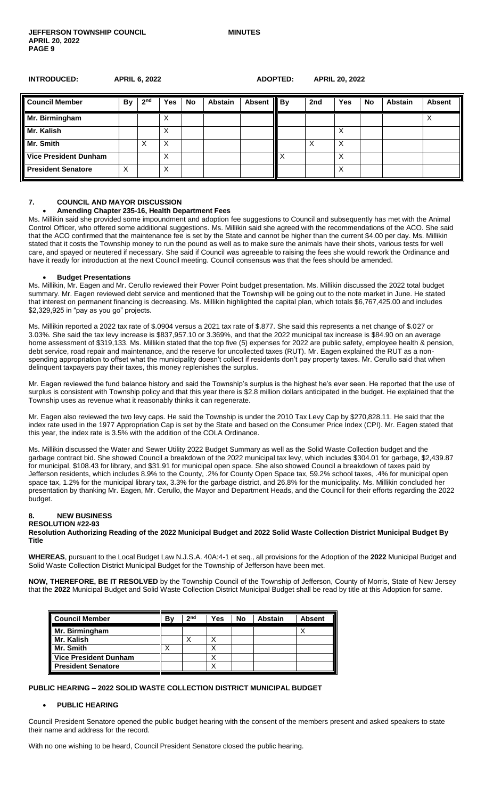**INTRODUCED: APRIL 6, 2022 ADOPTED: APRIL 20, 2022**

| <b>Council Member</b>        | By | 2 <sup>nd</sup> | Yes | No | <b>Abstain</b> | <b>Absent</b> | $\parallel$ By | 2nd | Yes | No | <b>Abstain</b> | <b>Absent</b> |
|------------------------------|----|-----------------|-----|----|----------------|---------------|----------------|-----|-----|----|----------------|---------------|
| Mr. Birmingham               |    |                 | ⋏   |    |                |               |                |     |     |    |                |               |
| Mr. Kalish                   |    |                 | х   |    |                |               |                |     |     |    |                |               |
| Mr. Smith                    |    | Х               | х   |    |                |               |                |     | х   |    |                |               |
| <b>Vice President Dunham</b> |    |                 | X   |    |                |               | X              |     | х   |    |                |               |
| <b>President Senatore</b>    | х  |                 | Х   |    |                |               |                |     | X   |    |                |               |

#### **7. COUNCIL AND MAYOR DISCUSSION**

## **Amending Chapter 235-16, Health Department Fees**

Ms. Millikin said she provided some impoundment and adoption fee suggestions to Council and subsequently has met with the Animal Control Officer, who offered some additional suggestions. Ms. Millikin said she agreed with the recommendations of the ACO. She said that the ACO confirmed that the maintenance fee is set by the State and cannot be higher than the current \$4.00 per day. Ms. Millikin stated that it costs the Township money to run the pound as well as to make sure the animals have their shots, various tests for well care, and spayed or neutered if necessary. She said if Council was agreeable to raising the fees she would rework the Ordinance and have it ready for introduction at the next Council meeting. Council consensus was that the fees should be amended.

#### **Budget Presentations**

Ms. Millikin, Mr. Eagen and Mr. Cerullo reviewed their Power Point budget presentation. Ms. Millikin discussed the 2022 total budget summary. Mr. Eagen reviewed debt service and mentioned that the Township will be going out to the note market in June. He stated that interest on permanent financing is decreasing. Ms. Millikin highlighted the capital plan, which totals \$6,767,425.00 and includes \$2,329,925 in "pay as you go" projects.

Ms. Millikin reported a 2022 tax rate of \$.0904 versus a 2021 tax rate of \$.877. She said this represents a net change of \$.027 or 3.03%. She said the tax levy increase is \$837,957.10 or 3.369%, and that the 2022 municipal tax increase is \$84.90 on an average home assessment of \$319,133. Ms. Millikin stated that the top five (5) expenses for 2022 are public safety, employee health & pension, debt service, road repair and maintenance, and the reserve for uncollected taxes (RUT). Mr. Eagen explained the RUT as a nonspending appropriation to offset what the municipality doesn't collect if residents don't pay property taxes. Mr. Cerullo said that when delinquent taxpayers pay their taxes, this money replenishes the surplus.

Mr. Eagen reviewed the fund balance history and said the Township's surplus is the highest he's ever seen. He reported that the use of surplus is consistent with Township policy and that this year there is \$2.8 million dollars anticipated in the budget. He explained that the Township uses as revenue what it reasonably thinks it can regenerate.

Mr. Eagen also reviewed the two levy caps. He said the Township is under the 2010 Tax Levy Cap by \$270,828.11. He said that the index rate used in the 1977 Appropriation Cap is set by the State and based on the Consumer Price Index (CPI). Mr. Eagen stated that this year, the index rate is 3.5% with the addition of the COLA Ordinance.

Ms. Millikin discussed the Water and Sewer Utility 2022 Budget Summary as well as the Solid Waste Collection budget and the garbage contract bid. She showed Council a breakdown of the 2022 municipal tax levy, which includes \$304.01 for garbage, \$2,439.87 for municipal, \$108.43 for library, and \$31.91 for municipal open space. She also showed Council a breakdown of taxes paid by Jefferson residents, which includes 8.9% to the County, .2% for County Open Space tax, 59.2% school taxes, .4% for municipal open space tax, 1.2% for the municipal library tax, 3.3% for the garbage district, and 26.8% for the municipality. Ms. Millikin concluded her presentation by thanking Mr. Eagen, Mr. Cerullo, the Mayor and Department Heads, and the Council for their efforts regarding the 2022 budget.

# **8. NEW BUSINESS**

#### **RESOLUTION #22-93**

**Resolution Authorizing Reading of the 2022 Municipal Budget and 2022 Solid Waste Collection District Municipal Budget By Title**

**WHEREAS**, pursuant to the Local Budget Law N.J.S.A. 40A:4-1 et seq., all provisions for the Adoption of the **2022** Municipal Budget and Solid Waste Collection District Municipal Budget for the Township of Jefferson have been met.

**NOW, THEREFORE, BE IT RESOLVED** by the Township Council of the Township of Jefferson, County of Morris, State of New Jersey that the **2022** Municipal Budget and Solid Waste Collection District Municipal Budget shall be read by title at this Adoption for same.

| <b>Council Member</b>        | B٧     | 2 <sub>nd</sub> | Yes | <b>No</b> | <b>Abstain</b> | <b>Absent</b> |
|------------------------------|--------|-----------------|-----|-----------|----------------|---------------|
| Mr. Birmingham               |        |                 |     |           |                |               |
| Mr. Kalish                   |        |                 |     |           |                |               |
| Mr. Smith                    | ν<br>↗ |                 | x   |           |                |               |
| <b>Vice President Dunham</b> |        |                 |     |           |                |               |
| <b>President Senatore</b>    |        |                 |     |           |                |               |

#### **PUBLIC HEARING – 2022 SOLID WASTE COLLECTION DISTRICT MUNICIPAL BUDGET**

#### **PUBLIC HEARING**

Council President Senatore opened the public budget hearing with the consent of the members present and asked speakers to state their name and address for the record.

With no one wishing to be heard, Council President Senatore closed the public hearing.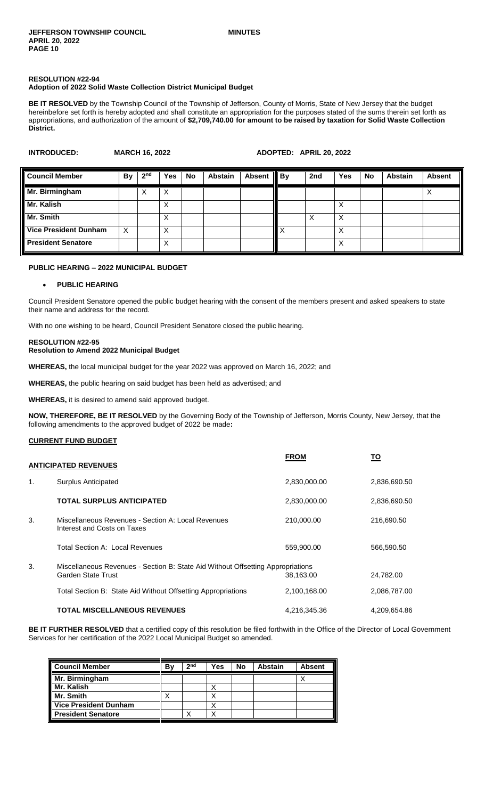# **RESOLUTION #22-94 Adoption of 2022 Solid Waste Collection District Municipal Budget**

**BE IT RESOLVED** by the Township Council of the Township of Jefferson, County of Morris, State of New Jersey that the budget hereinbefore set forth is hereby adopted and shall constitute an appropriation for the purposes stated of the sums therein set forth as appropriations, and authorization of the amount of **\$2,709,740.00 for amount to be raised by taxation for Solid Waste Collection District.**

| <b>INTRODUCED:</b>           | <b>MARCH 16, 2022</b> |                 |     |           |                | ADOPTED: APRIL 20, 2022 |              |     |     |    |                |               |
|------------------------------|-----------------------|-----------------|-----|-----------|----------------|-------------------------|--------------|-----|-----|----|----------------|---------------|
| <b>Council Member</b>        | By                    | 2 <sup>nd</sup> | Yes | <b>No</b> | <b>Abstain</b> | <b>Absent</b>           | By           | 2nd | Yes | No | <b>Abstain</b> | <b>Absent</b> |
| Mr. Birmingham               |                       | Х               | X   |           |                |                         |              |     |     |    |                | х             |
| Mr. Kalish                   |                       |                 | Χ   |           |                |                         |              |     | Х   |    |                |               |
| Mr. Smith                    |                       |                 | Χ   |           |                |                         |              | X   | X   |    |                |               |
| <b>Vice President Dunham</b> | $\times$              |                 | X   |           |                |                         | $\checkmark$ |     | X   |    |                |               |
| <b>President Senatore</b>    |                       |                 | Χ   |           |                |                         |              |     | Х   |    |                |               |

# **PUBLIC HEARING – 2022 MUNICIPAL BUDGET**

#### **PUBLIC HEARING**

Council President Senatore opened the public budget hearing with the consent of the members present and asked speakers to state their name and address for the record.

With no one wishing to be heard, Council President Senatore closed the public hearing.

#### **RESOLUTION #22-95 Resolution to Amend 2022 Municipal Budget**

**WHEREAS,** the local municipal budget for the year 2022 was approved on March 16, 2022; and

**WHEREAS,** the public hearing on said budget has been held as advertised; and

**WHEREAS,** it is desired to amend said approved budget.

**NOW, THEREFORE, BE IT RESOLVED** by the Governing Body of the Township of Jefferson, Morris County, New Jersey, that the following amendments to the approved budget of 2022 be made**:**

# **CURRENT FUND BUDGET**

|    | <b>ANTICIPATED REVENUES</b>                                                                           | <b>FROM</b>  | то           |
|----|-------------------------------------------------------------------------------------------------------|--------------|--------------|
| 1. | <b>Surplus Anticipated</b>                                                                            | 2,830,000.00 | 2,836,690.50 |
|    | <b>TOTAL SURPLUS ANTICIPATED</b>                                                                      | 2,830,000.00 | 2,836,690.50 |
| 3. | Miscellaneous Revenues - Section A: Local Revenues<br>Interest and Costs on Taxes                     | 210,000.00   | 216,690.50   |
|    | Total Section A: Local Revenues                                                                       | 559,900.00   | 566,590.50   |
| 3. | Miscellaneous Revenues - Section B: State Aid Without Offsetting Appropriations<br>Garden State Trust | 38,163.00    | 24,782.00    |
|    | Total Section B: State Aid Without Offsetting Appropriations                                          | 2,100,168.00 | 2,086,787.00 |
|    | <b>TOTAL MISCELLANEOUS REVENUES</b>                                                                   | 4,216,345.36 | 4,209,654.86 |

**BE IT FURTHER RESOLVED** that a certified copy of this resolution be filed forthwith in the Office of the Director of Local Government Services for her certification of the 2022 Local Municipal Budget so amended.

| <b>Council Member</b>        | B٧ | 2 <sub>nd</sub> | Yes | No | <b>Abstain</b> | Ш<br><b>Absent</b> |
|------------------------------|----|-----------------|-----|----|----------------|--------------------|
| Mr. Birmingham               |    |                 |     |    |                |                    |
| Mr. Kalish                   |    |                 |     |    |                |                    |
| Mr. Smith                    | ◡  |                 | ν   |    |                |                    |
| <b>Vice President Dunham</b> |    |                 |     |    |                |                    |
| <b>President Senatore</b>    |    |                 | v   |    |                |                    |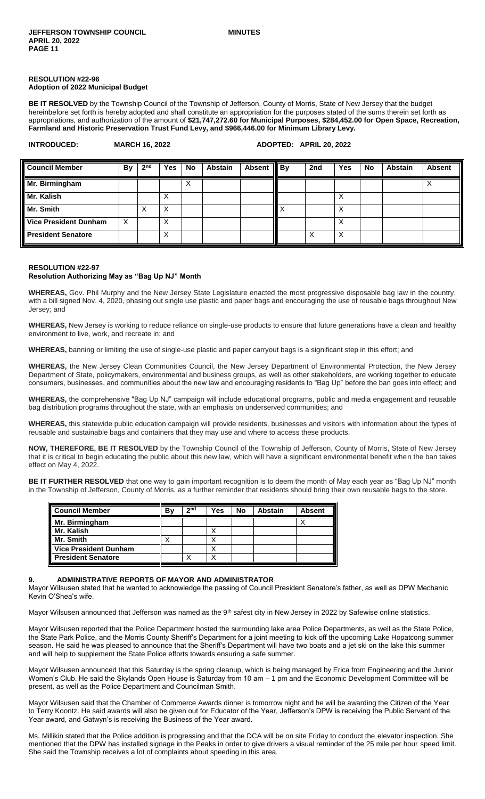#### **RESOLUTION #22-96 Adoption of 2022 Municipal Budget**

**BE IT RESOLVED** by the Township Council of the Township of Jefferson, County of Morris, State of New Jersey that the budget hereinbefore set forth is hereby adopted and shall constitute an appropriation for the purposes stated of the sums therein set forth as appropriations, and authorization of the amount of **\$21,747,272.60 for Municipal Purposes, \$284,452.00 for Open Space, Recreation, Farmland and Historic Preservation Trust Fund Levy, and \$966,446.00 for Minimum Library Levy.**

| <b>INTRODUCED:</b>           | <b>MARCH 16, 2022</b> |                 |            |           |                |               |    | ADOPTED: APRIL 20, 2022 |            |    |                |               |  |
|------------------------------|-----------------------|-----------------|------------|-----------|----------------|---------------|----|-------------------------|------------|----|----------------|---------------|--|
| <b>Council Member</b>        | By B                  | 2 <sub>nd</sub> | <b>Yes</b> | <b>No</b> | <b>Abstain</b> | <b>Absent</b> | By | 2nd                     | <b>Yes</b> | No | <b>Abstain</b> | <b>Absent</b> |  |
| Mr. Birmingham               |                       |                 |            | X         |                |               |    |                         |            |    |                | ∧             |  |
| Mr. Kalish                   |                       |                 | Х          |           |                |               |    |                         | Х          |    |                |               |  |
| Mr. Smith                    |                       | X               | Х          |           |                |               |    |                         | X          |    |                |               |  |
| <b>Vice President Dunham</b> | X                     |                 | х          |           |                |               |    |                         | Х          |    |                |               |  |
| <b>President Senatore</b>    |                       |                 | Х          |           |                |               |    |                         | Х          |    |                |               |  |

#### **RESOLUTION #22-97**

#### **Resolution Authorizing May as "Bag Up NJ" Month**

**WHEREAS,** Gov. Phil Murphy and the New Jersey State Legislature enacted the most progressive disposable bag law in the country, with a bill signed Nov. 4, 2020, phasing out single use plastic and paper bags and encouraging the use of reusable bags throughout New Jersey; and

**WHEREAS,** New Jersey is working to reduce reliance on single-use products to ensure that future generations have a clean and healthy environment to live, work, and recreate in; and

**WHEREAS,** banning or limiting the use of single-use plastic and paper carryout bags is a significant step in this effort; and

**WHEREAS,** the New Jersey Clean Communities Council, the New Jersey Department of Environmental Protection, the New Jersey Department of State, policymakers, environmental and business groups, as well as other stakeholders, are working together to educate consumers, businesses, and communities about the new law and encouraging residents to "Bag Up" before the ban goes into effect; and

**WHEREAS,** the comprehensive "Bag Up NJ" campaign will include educational programs, public and media engagement and reusable bag distribution programs throughout the state, with an emphasis on underserved communities; and

**WHEREAS,** this statewide public education campaign will provide residents, businesses and visitors with information about the types of reusable and sustainable bags and containers that they may use and where to access these products.

**NOW, THEREFORE, BE IT RESOLVED** by the Township Council of the Township of Jefferson, County of Morris, State of New Jersey that it is critical to begin educating the public about this new law, which will have a significant environmental benefit when the ban takes effect on May 4, 2022.

**BE IT FURTHER RESOLVED** that one way to gain important recognition is to deem the month of May each year as "Bag Up NJ" month in the Township of Jefferson, County of Morris, as a further reminder that residents should bring their own reusable bags to the store.

| <b>Council Member</b>        | B٧ | 2 <sub>nd</sub> | <b>Yes</b> | <b>No</b> | Abstain | <b>Absent</b> |
|------------------------------|----|-----------------|------------|-----------|---------|---------------|
| Mr. Birmingham               |    |                 |            |           |         |               |
| Mr. Kalish                   |    |                 |            |           |         |               |
| Mr. Smith                    |    |                 |            |           |         |               |
| <b>Vice President Dunham</b> |    |                 |            |           |         |               |
| <b>President Senatore</b>    |    |                 |            |           |         |               |

#### **9. ADMINISTRATIVE REPORTS OF MAYOR AND ADMINISTRATOR**

Mayor Wilsusen stated that he wanted to acknowledge the passing of Council President Senatore's father, as well as DPW Mechanic Kevin O'Shea's wife.

Mayor Wilsusen announced that Jefferson was named as the 9<sup>th</sup> safest city in New Jersey in 2022 by Safewise online statistics.

Mayor Wilsusen reported that the Police Department hosted the surrounding lake area Police Departments, as well as the State Police, the State Park Police, and the Morris County Sheriff's Department for a joint meeting to kick off the upcoming Lake Hopatcong summer season. He said he was pleased to announce that the Sheriff's Department will have two boats and a jet ski on the lake this summer and will help to supplement the State Police efforts towards ensuring a safe summer.

Mayor Wilsusen announced that this Saturday is the spring cleanup, which is being managed by Erica from Engineering and the Junior Women's Club. He said the Skylands Open House is Saturday from 10 am – 1 pm and the Economic Development Committee will be present, as well as the Police Department and Councilman Smith.

Mayor Wilsusen said that the Chamber of Commerce Awards dinner is tomorrow night and he will be awarding the Citizen of the Year to Terry Koontz. He said awards will also be given out for Educator of the Year, Jefferson's DPW is receiving the Public Servant of the Year award, and Gatwyn's is receiving the Business of the Year award.

Ms. Millikin stated that the Police addition is progressing and that the DCA will be on site Friday to conduct the elevator inspection. She mentioned that the DPW has installed signage in the Peaks in order to give drivers a visual reminder of the 25 mile per hour speed limit. She said the Township receives a lot of complaints about speeding in this area.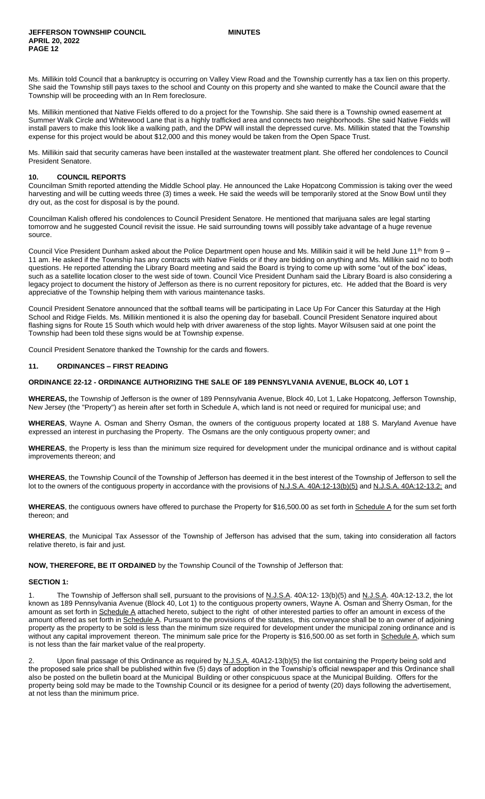Ms. Millikin told Council that a bankruptcy is occurring on Valley View Road and the Township currently has a tax lien on this property. She said the Township still pays taxes to the school and County on this property and she wanted to make the Council aware that the Township will be proceeding with an In Rem foreclosure.

Ms. Millikin mentioned that Native Fields offered to do a project for the Township. She said there is a Township owned easement at Summer Walk Circle and Whitewood Lane that is a highly trafficked area and connects two neighborhoods. She said Native Fields will install pavers to make this look like a walking path, and the DPW will install the depressed curve. Ms. Millikin stated that the Township expense for this project would be about \$12,000 and this money would be taken from the Open Space Trust.

Ms. Millikin said that security cameras have been installed at the wastewater treatment plant. She offered her condolences to Council President Senatore.

#### **10. COUNCIL REPORTS**

Councilman Smith reported attending the Middle School play. He announced the Lake Hopatcong Commission is taking over the weed harvesting and will be cutting weeds three (3) times a week. He said the weeds will be temporarily stored at the Snow Bowl until they dry out, as the cost for disposal is by the pound.

Councilman Kalish offered his condolences to Council President Senatore. He mentioned that marijuana sales are legal starting tomorrow and he suggested Council revisit the issue. He said surrounding towns will possibly take advantage of a huge revenue source.

Council Vice President Dunham asked about the Police Department open house and Ms. Millikin said it will be held June 11<sup>th</sup> from 9 -11 am. He asked if the Township has any contracts with Native Fields or if they are bidding on anything and Ms. Millikin said no to both questions. He reported attending the Library Board meeting and said the Board is trying to come up with some "out of the box" ideas, such as a satellite location closer to the west side of town. Council Vice President Dunham said the Library Board is also considering a legacy project to document the history of Jefferson as there is no current repository for pictures, etc. He added that the Board is very appreciative of the Township helping them with various maintenance tasks.

Council President Senatore announced that the softball teams will be participating in Lace Up For Cancer this Saturday at the High School and Ridge Fields. Ms. Millikin mentioned it is also the opening day for baseball. Council President Senatore inquired about flashing signs for Route 15 South which would help with driver awareness of the stop lights. Mayor Wilsusen said at one point the Township had been told these signs would be at Township expense.

Council President Senatore thanked the Township for the cards and flowers.

#### **11. ORDINANCES – FIRST READING**

#### **ORDINANCE 22-12 - ORDINANCE AUTHORIZING THE SALE OF 189 PENNSYLVANIA AVENUE, BLOCK 40, LOT 1**

**WHEREAS,** the Township of Jefferson is the owner of 189 Pennsylvania Avenue, Block 40, Lot 1, Lake Hopatcong, Jefferson Township, New Jersey (the "Property") as herein after set forth in Schedule A, which land is not need or required for municipal use; and

**WHEREAS**, Wayne A. Osman and Sherry Osman, the owners of the contiguous property located at 188 S. Maryland Avenue have expressed an interest in purchasing the Property. The Osmans are the only contiguous property owner; and

**WHEREAS**, the Property is less than the minimum size required for development under the municipal ordinance and is without capital improvements thereon; and

**WHEREAS**, the Township Council of the Township of Jefferson has deemed it in the best interest of the Township of Jefferson to sell the lot to the owners of the contiguous property in accordance with the provisions of N.J.S.A. 40A:12-13(b)(5) and N.J.S.A. 40A:12-13.2; and

WHEREAS, the contiguous owners have offered to purchase the Property for \$16,500.00 as set forth in Schedule A for the sum set forth thereon; and

**WHEREAS**, the Municipal Tax Assessor of the Township of Jefferson has advised that the sum, taking into consideration all factors relative thereto, is fair and just.

**NOW, THEREFORE, BE IT ORDAINED** by the Township Council of the Township of Jefferson that:

#### **SECTION 1:**

The Township of Jefferson shall sell, pursuant to the provisions of N.J.S.A. 40A:12- 13(b)(5) and N.J.S.A. 40A:12-13.2, the lot known as 189 Pennsylvania Avenue (Block 40, Lot 1) to the contiguous property owners, Wayne A. Osman and Sherry Osman, for the amount as set forth in Schedule A attached hereto, subject to the right of other interested parties to offer an amount in excess of the amount offered as set forth in Schedule A. Pursuant to the provisions of the statutes, this conveyance shall be to an owner of adjoining property as the property to be sold is less than the minimum size required for development under the municipal zoning ordinance and is without any capital improvement thereon. The minimum sale price for the Property is \$16,500.00 as set forth in Schedule A, which sum is not less than the fair market value of the real property.

2. Upon final passage of this Ordinance as required by N.J.S.A. 40A12-13(b)(5) the list containing the Property being sold and the proposed sale price shall be published within five (5) days of adoption in the Township's official newspaper and this Ordinance shall also be posted on the bulletin board at the Municipal Building or other conspicuous space at the Municipal Building. Offers for the property being sold may be made to the Township Council or its designee for a period of twenty (20) days following the advertisement, at not less than the minimum price.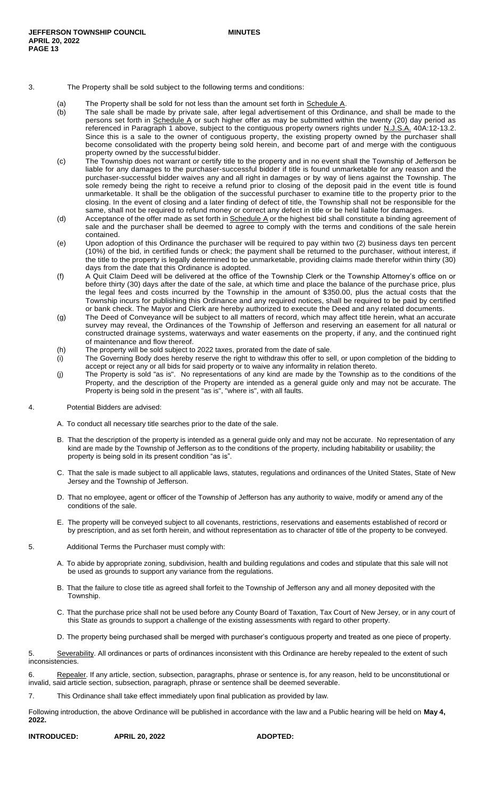#### 3. The Property shall be sold subject to the following terms and conditions:

- - (a) The Property shall be sold for not less than the amount set forth in  $S$ chedule  $A$ .<br>(b) The sale shall be made by private sale, after legal advertisement of this Ordir The sale shall be made by private sale, after legal advertisement of this Ordinance, and shall be made to the persons set forth in Schedule A or such higher offer as may be submitted within the twenty (20) day period as referenced in Paragraph 1 above, subject to the contiguous property owners rights under N.J.S.A. 40A:12-13.2. Since this is a sale to the owner of contiguous property, the existing property owned by the purchaser shall become consolidated with the property being sold herein, and become part of and merge with the contiguous property owned by the successful bidder.
	- (c) The Township does not warrant or certify title to the property and in no event shall the Township of Jefferson be liable for any damages to the purchaser-successful bidder if title is found unmarketable for any reason and the purchaser-successful bidder waives any and all right in damages or by way of liens against the Township. The sole remedy being the right to receive a refund prior to closing of the deposit paid in the event title is found unmarketable. It shall be the obligation of the successful purchaser to examine title to the property prior to the closing. In the event of closing and a later finding of defect of title, the Township shall not be responsible for the same, shall not be required to refund money or correct any defect in title or be held liable for damages.
	- (d) Acceptance of the offer made as set forth in  $S$ chedule  $A$  or the highest bid shall constitute a binding agreement of sale and the purchaser shall be deemed to agree to comply with the terms and conditions of the sale herein contained.
	- (e) Upon adoption of this Ordinance the purchaser will be required to pay within two (2) business days ten percent (10%) of the bid, in certified funds or check; the payment shall be returned to the purchaser, without interest, if the title to the property is legally determined to be unmarketable, providing claims made therefor within thirty (30) days from the date that this Ordinance is adopted.
	- (f) A Quit Claim Deed will be delivered at the office of the Township Clerk or the Township Attorney's office on or before thirty (30) days after the date of the sale, at which time and place the balance of the purchase price, plus the legal fees and costs incurred by the Township in the amount of \$350.00, plus the actual costs that the Township incurs for publishing this Ordinance and any required notices, shall be required to be paid by certified or bank check. The Mayor and Clerk are hereby authorized to execute the Deed and any related documents.
	- (g) The Deed of Conveyance will be subject to all matters of record, which may affect title herein, what an accurate survey may reveal, the Ordinances of the Township of Jefferson and reserving an easement for all natural or constructed drainage systems, waterways and water easements on the property, if any, and the continued right of maintenance and flow thereof.
	- (h) The property will be sold subject to 2022 taxes, prorated from the date of sale.
	- (i) The Governing Body does hereby reserve the right to withdraw this offer to sell, or upon completion of the bidding to accept or reject any or all bids for said property or to waive any informality in relation thereto.
	- (j) The Property is sold "as is". No representations of any kind are made by the Township as to the conditions of the Property, and the description of the Property are intended as a general guide only and may not be accurate. The Property is being sold in the present "as is", "where is", with all faults.

#### 4. Potential Bidders are advised:

- A. To conduct all necessary title searches prior to the date of the sale.
- B. That the description of the property is intended as a general guide only and may not be accurate. No representation of any kind are made by the Township of Jefferson as to the conditions of the property, including habitability or usability; the property is being sold in its present condition "as is".
- C. That the sale is made subject to all applicable laws, statutes, regulations and ordinances of the United States, State of New Jersey and the Township of Jefferson.
- D. That no employee, agent or officer of the Township of Jefferson has any authority to waive, modify or amend any of the conditions of the sale.
- E. The property will be conveyed subject to all covenants, restrictions, reservations and easements established of record or by prescription, and as set forth herein, and without representation as to character of title of the property to be conveyed.
- 5. Additional Terms the Purchaser must comply with:
	- A. To abide by appropriate zoning, subdivision, health and building regulations and codes and stipulate that this sale will not be used as grounds to support any variance from the regulations.
	- B. That the failure to close title as agreed shall forfeit to the Township of Jefferson any and all money deposited with the Township.
	- C. That the purchase price shall not be used before any County Board of Taxation, Tax Court of New Jersey, or in any court of this State as grounds to support a challenge of the existing assessments with regard to other property.
	- D. The property being purchased shall be merged with purchaser's contiguous property and treated as one piece of property.

5. Severability. All ordinances or parts of ordinances inconsistent with this Ordinance are hereby repealed to the extent of such inconsistencies.

|                                                                                                     |  |  |  |  | Repealer. If any article, section, subsection, paragraphs, phrase or sentence is, for any reason, held to be unconstitutional or |
|-----------------------------------------------------------------------------------------------------|--|--|--|--|----------------------------------------------------------------------------------------------------------------------------------|
| invalid, said article section, subsection, paragraph, phrase or sentence shall be deemed severable. |  |  |  |  |                                                                                                                                  |

7. This Ordinance shall take effect immediately upon final publication as provided by law.

Following introduction, the above Ordinance will be published in accordance with the law and a Public hearing will be held on **May 4, 2022.**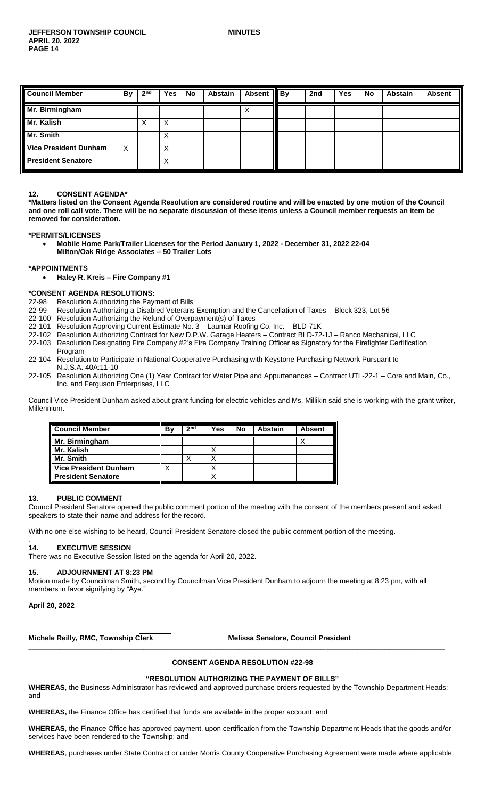| <b>Council Member</b>        | <b>By</b> | 2 <sub>nd</sub> | Yes | No | Abstain | <b>Absent</b> | $\parallel$ By | 2nd | Yes | <b>No</b> | <b>Abstain</b> | <b>Absent</b> |
|------------------------------|-----------|-----------------|-----|----|---------|---------------|----------------|-----|-----|-----------|----------------|---------------|
| Mr. Birmingham               |           |                 |     |    |         | ⌒             |                |     |     |           |                |               |
| Mr. Kalish                   |           | ↗               | X   |    |         |               |                |     |     |           |                |               |
| Mr. Smith                    |           |                 | X   |    |         |               |                |     |     |           |                |               |
| <b>Vice President Dunham</b> | X         |                 | X   |    |         |               |                |     |     |           |                |               |
| <b>President Senatore</b>    |           |                 | X   |    |         |               |                |     |     |           |                |               |

### **12. CONSENT AGENDA\***

**\*Matters listed on the Consent Agenda Resolution are considered routine and will be enacted by one motion of the Council and one roll call vote. There will be no separate discussion of these items unless a Council member requests an item be removed for consideration.**

**\*PERMITS/LICENSES**

 **Mobile Home Park/Trailer Licenses for the Period January 1, 2022 - December 31, 2022 22-04 Milton/Oak Ridge Associates – 50 Trailer Lots** 

#### **\*APPOINTMENTS**

**Haley R. Kreis – Fire Company #1**

#### **\*CONSENT AGENDA RESOLUTIONS:**

- 22-98 Resolution Authorizing the Payment of Bills
- 22-99 Resolution Authorizing a Disabled Veterans Exemption and the Cancellation of Taxes Block 323, Lot 56
- 22-100 Resolution Authorizing the Refund of Overpayment(s) of Taxes
- 22-101 Resolution Approving Current Estimate No. 3 Laumar Roofing Co, Inc. BLD-71K
- 22-102 Resolution Authorizing Contract for New D.P.W. Garage Heaters Contract BLD-72-1J Ranco Mechanical, LLC
- 22-103 Resolution Designating Fire Company #2's Fire Company Training Officer as Signatory for the Firefighter Certification Program
- 22-104 Resolution to Participate in National Cooperative Purchasing with Keystone Purchasing Network Pursuant to N.J.S.A. 40A:11-10
- 22-105 Resolution Authorizing One (1) Year Contract for Water Pipe and Appurtenances Contract UTL-22-1 Core and Main, Co., Inc. and Ferguson Enterprises, LLC

Council Vice President Dunham asked about grant funding for electric vehicles and Ms. Millikin said she is working with the grant writer, Millennium.

| Council Member            | Bv | 2 <sub>nd</sub> | Yes | No | <b>Abstain</b> | <b>Absent</b> |
|---------------------------|----|-----------------|-----|----|----------------|---------------|
| Mr. Birmingham            |    |                 |     |    |                |               |
| l Mr. Kalish              |    |                 |     |    |                |               |
| Mr. Smith                 |    |                 |     |    |                |               |
| Vice President Dunham     |    |                 |     |    |                |               |
| <b>President Senatore</b> |    |                 |     |    |                |               |

#### **13. PUBLIC COMMENT**

Council President Senatore opened the public comment portion of the meeting with the consent of the members present and asked speakers to state their name and address for the record.

With no one else wishing to be heard, Council President Senatore closed the public comment portion of the meeting.

**\_\_\_\_\_\_\_\_\_\_\_\_\_\_\_\_\_\_\_\_\_\_\_\_\_\_\_\_ \_\_\_\_\_\_\_\_\_\_\_\_\_\_\_\_\_\_\_\_\_\_\_\_\_\_\_\_\_\_\_\_\_\_\_\_\_\_\_\_\_\_\_**

#### . **14. EXECUTIVE SESSION**

There was no Executive Session listed on the agenda for April 20, 2022.

#### **15. ADJOURNMENT AT 8:23 PM**

Motion made by Councilman Smith, second by Councilman Vice President Dunham to adjourn the meeting at 8:23 pm, with all members in favor signifying by "Aye."

**April 20, 2022**

**Michele Reilly, RMC, Township Clerk Melissa Senatore, Council President** 

# **CONSENT AGENDA RESOLUTION #22-98**

### **"RESOLUTION AUTHORIZING THE PAYMENT OF BILLS"**

**\_\_\_\_\_\_\_\_\_\_\_\_\_\_\_\_\_\_\_\_\_\_\_\_\_\_\_\_\_\_\_\_\_\_\_\_\_\_\_\_\_\_\_\_\_\_\_\_\_\_\_\_\_\_\_\_\_\_\_\_\_\_\_\_\_\_\_\_\_\_\_\_\_\_\_\_\_\_\_\_\_\_\_\_\_\_\_\_\_\_\_\_\_\_\_\_\_\_\_\_\_\_\_\_\_**

**WHEREAS**, the Business Administrator has reviewed and approved purchase orders requested by the Township Department Heads; and

**WHEREAS,** the Finance Office has certified that funds are available in the proper account; and

**WHEREAS**, the Finance Office has approved payment, upon certification from the Township Department Heads that the goods and/or services have been rendered to the Township; and

**WHEREAS**, purchases under State Contract or under Morris County Cooperative Purchasing Agreement were made where applicable.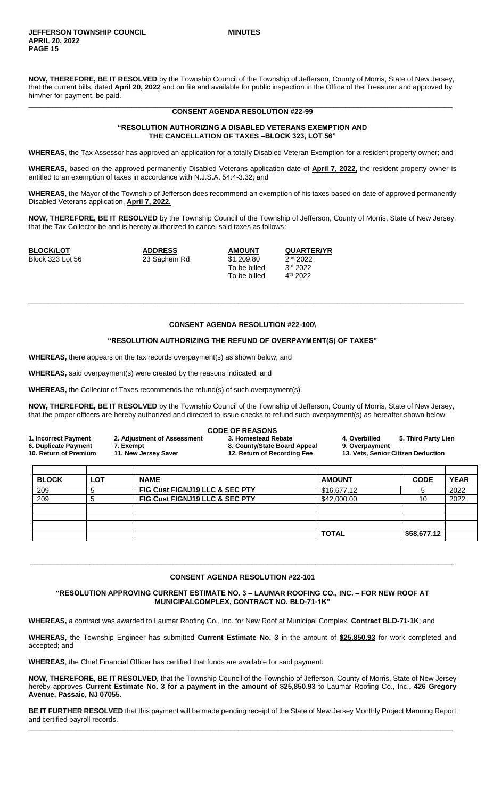**NOW, THEREFORE, BE IT RESOLVED** by the Township Council of the Township of Jefferson, County of Morris, State of New Jersey, that the current bills, dated **April 20, 2022** and on file and available for public inspection in the Office of the Treasurer and approved by him/her for payment, be paid.

#### \_\_\_\_\_\_\_\_\_\_\_\_\_\_\_\_\_\_\_\_\_\_\_\_\_\_\_\_\_\_\_\_\_\_\_\_\_\_\_\_\_\_\_\_\_\_\_\_\_\_\_\_\_\_\_\_\_\_\_\_\_\_\_\_\_\_\_\_\_\_\_\_\_\_\_\_\_\_\_\_\_\_\_\_\_\_\_\_\_\_\_\_\_\_\_\_\_\_\_\_\_\_\_\_\_\_\_ **CONSENT AGENDA RESOLUTION #22-99**

# **"RESOLUTION AUTHORIZING A DISABLED VETERANS EXEMPTION AND THE CANCELLATION OF TAXES –BLOCK 323, LOT 56"**

**WHEREAS**, the Tax Assessor has approved an application for a totally Disabled Veteran Exemption for a resident property owner; and

**WHEREAS**, based on the approved permanently Disabled Veterans application date of **April 7, 2022,** the resident property owner is entitled to an exemption of taxes in accordance with N.J.S.A. 54:4-3.32; and

**WHEREAS**, the Mayor of the Township of Jefferson does recommend an exemption of his taxes based on date of approved permanently Disabled Veterans application, **April 7, 2022.**

**NOW, THEREFORE, BE IT RESOLVED** by the Township Council of the Township of Jefferson, County of Morris, State of New Jersey, that the Tax Collector be and is hereby authorized to cancel said taxes as follows:

**BLOCK/LOT ADDRESS AMOUNT QUARTER/YR** Block 323 Lot 56 23 Sachem Rd \$1,209.80 2

To be billed 3 To be billed

2<sup>nd</sup> 2022 3rd 2022 4<sup>th</sup> 2022

# **CONSENT AGENDA RESOLUTION #22-100\**

\_\_\_\_\_\_\_\_\_\_\_\_\_\_\_\_\_\_\_\_\_\_\_\_\_\_\_\_\_\_\_\_\_\_\_\_\_\_\_\_\_\_\_\_\_\_\_\_\_\_\_\_\_\_\_\_\_\_\_\_\_\_\_\_\_\_\_\_\_\_\_\_\_\_\_\_\_\_\_\_\_\_\_\_\_\_\_\_\_\_\_\_\_\_\_\_\_\_\_\_\_\_\_\_\_\_\_\_\_\_

#### **"RESOLUTION AUTHORIZING THE REFUND OF OVERPAYMENT(S) OF TAXES"**

**WHEREAS,** there appears on the tax records overpayment(s) as shown below; and

**WHEREAS,** said overpayment(s) were created by the reasons indicated; and

**WHEREAS,** the Collector of Taxes recommends the refund(s) of such overpayment(s).

**NOW, THEREFORE, BE IT RESOLVED** by the Township Council of the Township of Jefferson, County of Morris, State of New Jersey, that the proper officers are hereby authorized and directed to issue checks to refund such overpayment(s) as hereafter shown below:

| 1. Incorrect Payment<br>6. Duplicate Payment<br>10. Return of Premium |            | 2. Adjustment of Assessment<br>7. Exempt<br>11. New Jersey Saver | <b>CODE OF REASONS</b><br>3. Homestead Rebate<br>8. County/State Board Appeal<br>12. Return of Recording Fee | 5. Third Party Lien<br>4. Overbilled<br>9. Overpayment<br>13. Vets, Senior Citizen Deduction |             |             |
|-----------------------------------------------------------------------|------------|------------------------------------------------------------------|--------------------------------------------------------------------------------------------------------------|----------------------------------------------------------------------------------------------|-------------|-------------|
| <b>BLOCK</b>                                                          | <b>LOT</b> | <b>NAME</b>                                                      |                                                                                                              | <b>AMOUNT</b>                                                                                | <b>CODE</b> | <b>YEAR</b> |
| 209                                                                   | 5          | FIG Cust FIGNJ19 LLC & SEC PTY                                   |                                                                                                              | \$16,677.12                                                                                  | 5           | 2022        |
| 209                                                                   | 5          | FIG Cust FIGNJ19 LLC & SEC PTY                                   |                                                                                                              | \$42,000.00                                                                                  | 10          | 2022        |
|                                                                       |            |                                                                  |                                                                                                              |                                                                                              |             |             |
|                                                                       |            |                                                                  |                                                                                                              |                                                                                              |             |             |
|                                                                       |            |                                                                  |                                                                                                              | <b>TOTAL</b>                                                                                 | \$58,677.12 |             |

# \_\_\_\_\_\_\_\_\_\_\_\_\_\_\_\_\_\_\_\_\_\_\_\_\_\_\_\_\_\_\_\_\_\_\_\_\_\_\_\_\_\_\_\_\_\_\_\_\_\_\_\_\_\_\_\_\_\_\_\_\_\_\_\_\_\_\_\_\_\_\_\_\_\_\_\_\_\_\_\_\_\_\_\_\_\_\_\_\_\_\_\_\_\_\_\_\_\_\_\_\_\_\_\_\_\_\_ **CONSENT AGENDA RESOLUTION #22-101**

#### **"RESOLUTION APPROVING CURRENT ESTIMATE NO. 3 – LAUMAR ROOFING CO., INC. – FOR NEW ROOF AT MUNICIPALCOMPLEX, CONTRACT NO. BLD-71-1K"**

**WHEREAS,** a contract was awarded to Laumar Roofing Co., Inc. for New Roof at Municipal Complex, **Contract BLD-71-1K**; and

**WHEREAS,** the Township Engineer has submitted **Current Estimate No. 3** in the amount of **\$25,850.93** for work completed and accepted; and

**WHEREAS**, the Chief Financial Officer has certified that funds are available for said payment.

**NOW, THEREFORE, BE IT RESOLVED,** that the Township Council of the Township of Jefferson, County of Morris, State of New Jersey hereby approves **Current Estimate No. 3 for a payment in the amount of \$25,850.93** to Laumar Roofing Co., Inc.**, 426 Gregory Avenue, Passaic, NJ 07055.** 

**BE IT FURTHER RESOLVED** that this payment will be made pending receipt of the State of New Jersey Monthly Project Manning Report and certified payroll records. \_\_\_\_\_\_\_\_\_\_\_\_\_\_\_\_\_\_\_\_\_\_\_\_\_\_\_\_\_\_\_\_\_\_\_\_\_\_\_\_\_\_\_\_\_\_\_\_\_\_\_\_\_\_\_\_\_\_\_\_\_\_\_\_\_\_\_\_\_\_\_\_\_\_\_\_\_\_\_\_\_\_\_\_\_\_\_\_\_\_\_\_\_\_\_\_\_\_\_\_\_\_\_\_\_\_\_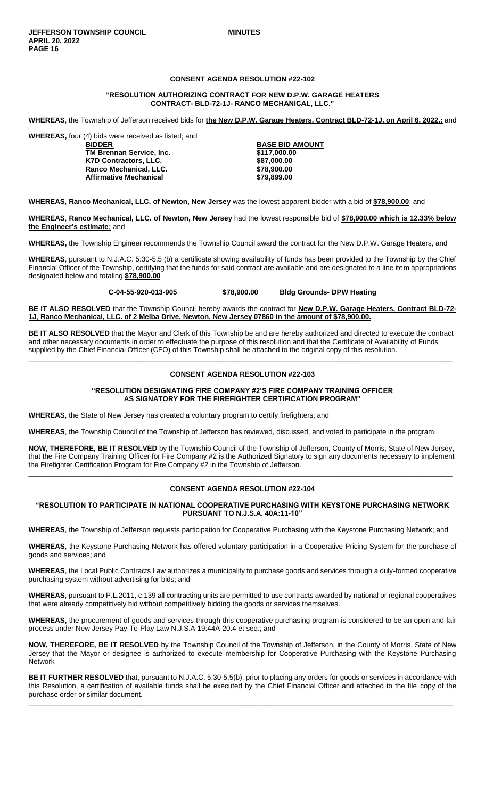# **CONSENT AGENDA RESOLUTION #22-102**

#### **"RESOLUTION AUTHORIZING CONTRACT FOR NEW D.P.W. GARAGE HEATERS CONTRACT- BLD-72-1J- RANCO MECHANICAL, LLC."**

**WHEREAS**, the Township of Jefferson received bids for **the New D.P.W. Garage Heaters, Contract BLD-72-1J, on April 6, 2022.;** and

**WHEREAS,** four (4) bids were received as listed; and

**BIDDER BASE BID AMOUNT TM Brennan Service, Inc. \$117,000.00 K7D Contractors, LLC. Ranco Mechanical, LLC. \$78,900.00 Affirmative Mechanical \$79,899.00**

**WHEREAS**, **Ranco Mechanical, LLC. of Newton, New Jersey** was the lowest apparent bidder with a bid of **\$78,900.00**; and

**WHEREAS**, **Ranco Mechanical, LLC. of Newton, New Jersey** had the lowest responsible bid of **\$78,900.00 which is 12.33% below the Engineer's estimate;** and

**WHEREAS,** the Township Engineer recommends the Township Council award the contract for the New D.P.W. Garage Heaters, and

**WHEREAS**, pursuant to N.J.A.C. 5:30-5.5 (b) a certificate showing availability of funds has been provided to the Township by the Chief Financial Officer of the Township, certifying that the funds for said contract are available and are designated to a line item appropriations designated below and totaling **\$78,900.00**

**C-04-55-920-013-905 \$78,900.00 Bldg Grounds- DPW Heating**

**BE IT ALSO RESOLVED** that the Township Council hereby awards the contract for **New D.P.W. Garage Heaters, Contract BLD-72- 1J**, **Ranco Mechanical, LLC. of 2 Melba Drive, Newton, New Jersey 07860 in the amount of \$78,900.00.**

**BE IT ALSO RESOLVED** that the Mayor and Clerk of this Township be and are hereby authorized and directed to execute the contract and other necessary documents in order to effectuate the purpose of this resolution and that the Certificate of Availability of Funds supplied by the Chief Financial Officer (CFO) of this Township shall be attached to the original copy of this resolution.

\_\_\_\_\_\_\_\_\_\_\_\_\_\_\_\_\_\_\_\_\_\_\_\_\_\_\_\_\_\_\_\_\_\_\_\_\_\_\_\_\_\_\_\_\_\_\_\_\_\_\_\_\_\_\_\_\_\_\_\_\_\_\_\_\_\_\_\_\_\_\_\_\_\_\_\_\_\_\_\_\_\_\_\_\_\_\_\_\_\_\_\_\_\_\_\_\_\_\_\_\_\_\_\_\_\_\_

# **CONSENT AGENDA RESOLUTION #22-103**

#### **"RESOLUTION DESIGNATING FIRE COMPANY #2'S FIRE COMPANY TRAINING OFFICER AS SIGNATORY FOR THE FIREFIGHTER CERTIFICATION PROGRAM"**

**WHEREAS**, the State of New Jersey has created a voluntary program to certify firefighters; and

**WHEREAS**, the Township Council of the Township of Jefferson has reviewed, discussed, and voted to participate in the program.

**NOW, THEREFORE, BE IT RESOLVED** by the Township Council of the Township of Jefferson, County of Morris, State of New Jersey, that the Fire Company Training Officer for Fire Company #2 is the Authorized Signatory to sign any documents necessary to implement the Firefighter Certification Program for Fire Company #2 in the Township of Jefferson.

\_\_\_\_\_\_\_\_\_\_\_\_\_\_\_\_\_\_\_\_\_\_\_\_\_\_\_\_\_\_\_\_\_\_\_\_\_\_\_\_\_\_\_\_\_\_\_\_\_\_\_\_\_\_\_\_\_\_\_\_\_\_\_\_\_\_\_\_\_\_\_\_\_\_\_\_\_\_\_\_\_\_\_\_\_\_\_\_\_\_\_\_\_\_\_\_\_\_\_\_\_\_\_\_\_\_\_

# **CONSENT AGENDA RESOLUTION #22-104**

#### **"RESOLUTION TO PARTICIPATE IN NATIONAL COOPERATIVE PURCHASING WITH KEYSTONE PURCHASING NETWORK PURSUANT TO N.J.S.A. 40A:11-10"**

**WHEREAS**, the Township of Jefferson requests participation for Cooperative Purchasing with the Keystone Purchasing Network; and

**WHEREAS**, the Keystone Purchasing Network has offered voluntary participation in a Cooperative Pricing System for the purchase of goods and services; and

**WHEREAS**, the Local Public Contracts Law authorizes a municipality to purchase goods and services through a duly-formed cooperative purchasing system without advertising for bids; and

**WHEREAS**, pursuant to P.L.2011, c.139 all contracting units are permitted to use contracts awarded by national or regional cooperatives that were already competitively bid without competitively bidding the goods or services themselves.

**WHEREAS,** the procurement of goods and services through this cooperative purchasing program is considered to be an open and fair process under New Jersey Pay-To-Play Law N.J.S.A 19:44A-20.4 et seq.; and

**NOW, THEREFORE, BE IT RESOLVED** by the Township Council of the Township of Jefferson, in the County of Morris, State of New Jersey that the Mayor or designee is authorized to execute membership for Cooperative Purchasing with the Keystone Purchasing Network

**BE IT FURTHER RESOLVED** that, pursuant to N.J.A.C. 5:30-5.5(b), prior to placing any orders for goods or services in accordance with this Resolution, a certification of available funds shall be executed by the Chief Financial Officer and attached to the file copy of the purchase order or similar document.

\_\_\_\_\_\_\_\_\_\_\_\_\_\_\_\_\_\_\_\_\_\_\_\_\_\_\_\_\_\_\_\_\_\_\_\_\_\_\_\_\_\_\_\_\_\_\_\_\_\_\_\_\_\_\_\_\_\_\_\_\_\_\_\_\_\_\_\_\_\_\_\_\_\_\_\_\_\_\_\_\_\_\_\_\_\_\_\_\_\_\_\_\_\_\_\_\_\_\_\_\_\_\_\_\_\_\_